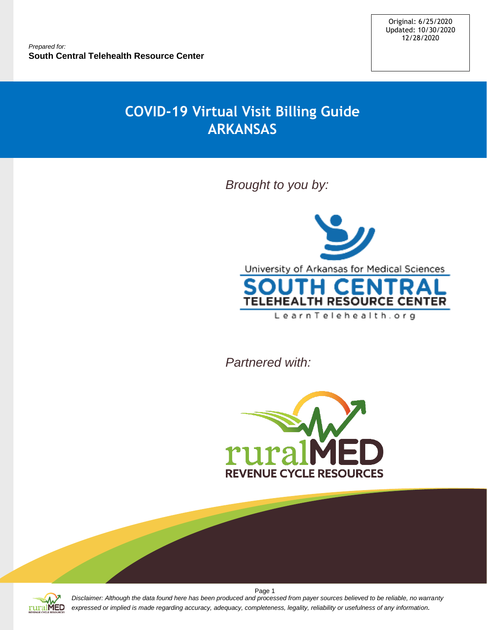# **COVID-19 Virtual Visit Billing Guide ARKANSAS**

*Brought to you by:*



*Partnered with:*





*Disclaimer: Although the data found here has been produced and processed from payer sources believed to be reliable, no warranty expressed or implied is made regarding accuracy, adequacy, completeness, legality, reliability or usefulness of any information.*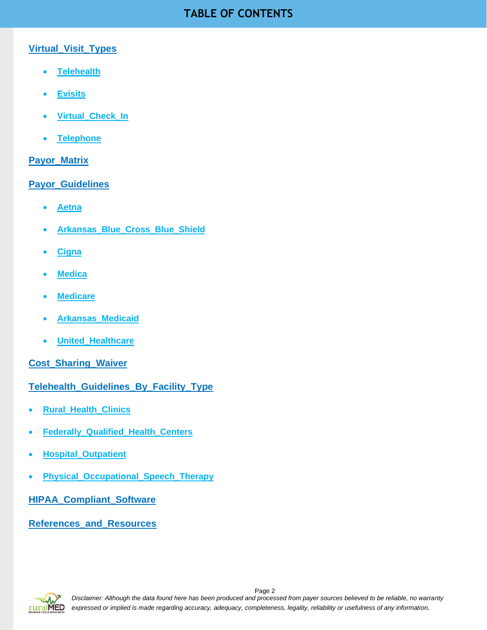# **TABLE OF CONTENTS**

# **Virtual\_Visit\_Types**

- **[Telehealth](#page-2-0)**
- **[Evisits](#page-2-1)**
- **[Virtual\\_Check\\_In](#page-3-0)**
- **[Telephone](#page-4-0)**

# **[Payor\\_Matrix](#page-6-0)**

# **[Payor\\_Guidelines](#page-7-0)**

- **[Aetna](#page-7-1)**
- **[Arkansas\\_Blue\\_Cross\\_Blue\\_Shield](#page-10-0)**
- **[Cigna](#page-12-0)**
- **[Medica](#page-16-0)**
- **[Medicare](#page-19-0)**
- **[Arkansas\\_Medicaid](#page-23-0)**
- **[United\\_Healthcare](#page-28-0)**

**[Cost\\_Sharing\\_Waiver](#page-31-0)**

# **[Telehealth\\_Guidelines\\_By\\_Facility\\_Type](#page-32-0)**

- **[Rural\\_Health\\_Clinics](#page-32-1)**
- **[Federally\\_Qualified\\_Health\\_Centers](#page-33-0)**
- **[Hospital\\_Outpatient](#page-35-0)**
- **[Physical\\_Occupational\\_Speech\\_Therapy](#page-37-0)**

**[HIPAA\\_Compliant\\_Software](#page-39-0)**

**[References\\_and\\_Resources](#page-39-1)**

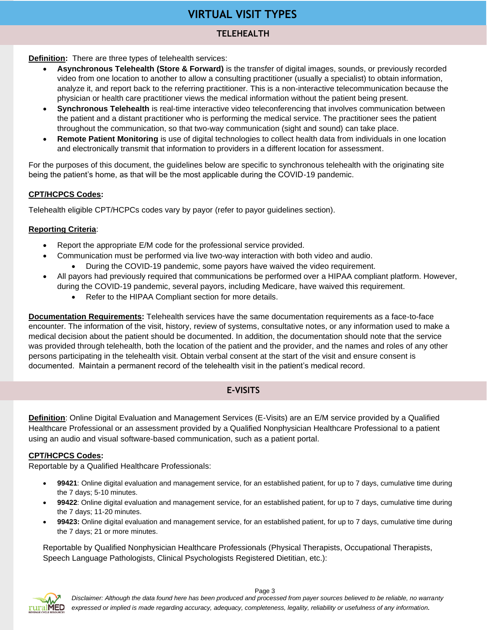# **VIRTUAL VISIT TYPES**

# **TELEHEALTH**

<span id="page-2-0"></span>**Definition:** There are three types of telehealth services:

- **Asynchronous Telehealth (Store & Forward)** is the transfer of digital images, sounds, or previously recorded video from one location to another to allow a consulting practitioner (usually a specialist) to obtain information, analyze it, and report back to the referring practitioner. This is a non-interactive telecommunication because the physician or health care practitioner views the medical information without the patient being present.
- **Synchronous Telehealth** is real-time interactive video teleconferencing that involves communication between the patient and a distant practitioner who is performing the medical service. The practitioner sees the patient throughout the communication, so that two-way communication (sight and sound) can take place.
- **Remote Patient Monitoring** is use of digital technologies to collect health data from individuals in one location and electronically transmit that information to providers in a different location for assessment.

For the purposes of this document, the guidelines below are specific to synchronous telehealth with the originating site being the patient's home, as that will be the most applicable during the COVID-19 pandemic.

#### **CPT/HCPCS Codes:**

Telehealth eligible CPT/HCPCs codes vary by payor (refer to payor guidelines section).

#### **Reporting Criteria**:

- Report the appropriate E/M code for the professional service provided.
	- Communication must be performed via live two-way interaction with both video and audio.
		- During the COVID-19 pandemic, some payors have waived the video requirement.
- All payors had previously required that communications be performed over a HIPAA compliant platform. However, during the COVID-19 pandemic, several payors, including Medicare, have waived this requirement.
	- Refer to the HIPAA Compliant section for more details.

**Documentation Requirements:** Telehealth services have the same documentation requirements as a face-to-face encounter. The information of the visit, history, review of systems, consultative notes, or any information used to make a medical decision about the patient should be documented. In addition, the documentation should note that the service was provided through telehealth, both the location of the patient and the provider, and the names and roles of any other persons participating in the telehealth visit. Obtain verbal consent at the start of the visit and ensure consent is documented. Maintain a permanent record of the telehealth visit in the patient's medical record.

# **E-VISITS**

<span id="page-2-1"></span>**Definition**: Online Digital Evaluation and Management Services (E-Visits) are an E/M service provided by a Qualified Healthcare Professional or an assessment provided by a Qualified Nonphysician Healthcare Professional to a patient using an audio and visual software-based communication, such as a patient portal.

#### **CPT/HCPCS Codes:**

Reportable by a Qualified Healthcare Professionals:

- **99421**: Online digital evaluation and management service, for an established patient, for up to 7 days, cumulative time during the 7 days; 5-10 minutes.
- **99422**: Online digital evaluation and management service, for an established patient, for up to 7 days, cumulative time during the 7 days; 11-20 minutes.
- **99423:** Online digital evaluation and management service, for an established patient, for up to 7 days, cumulative time during the 7 days; 21 or more minutes.

Reportable by Qualified Nonphysician Healthcare Professionals (Physical Therapists, Occupational Therapists, Speech Language Pathologists, Clinical Psychologists Registered Dietitian, etc.):

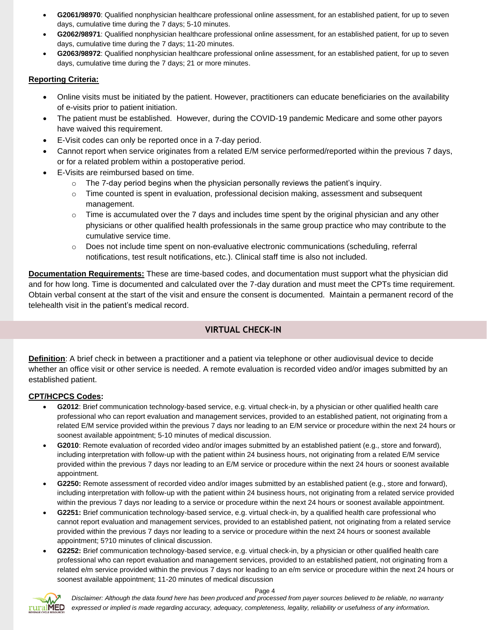- **G2061/98970**: Qualified nonphysician healthcare professional online assessment, for an established patient, for up to seven days, cumulative time during the 7 days; 5-10 minutes.
- **G2062/98971**: Qualified nonphysician healthcare professional online assessment, for an established patient, for up to seven days, cumulative time during the 7 days; 11-20 minutes.
- **G2063/98972**: Qualified nonphysician healthcare professional online assessment, for an established patient, for up to seven days, cumulative time during the 7 days; 21 or more minutes.

#### **Reporting Criteria:**

- Online visits must be initiated by the patient. However, practitioners can educate beneficiaries on the availability of e-visits prior to patient initiation.
- The patient must be established. However, during the COVID-19 pandemic Medicare and some other payors have waived this requirement.
- E-Visit codes can only be reported once in a 7-day period.
- Cannot report when service originates from a related E/M service performed/reported within the previous 7 days, or for a related problem within a postoperative period.
- E-Visits are reimbursed based on time.
	- $\circ$  The 7-day period begins when the physician personally reviews the patient's inquiry.
	- $\circ$  Time counted is spent in evaluation, professional decision making, assessment and subsequent management.
	- $\circ$  Time is accumulated over the 7 days and includes time spent by the original physician and any other physicians or other qualified health professionals in the same group practice who may contribute to the cumulative service time.
	- $\circ$  Does not include time spent on non-evaluative electronic communications (scheduling, referral notifications, test result notifications, etc.). Clinical staff time is also not included.

**Documentation Requirements:** These are time-based codes, and documentation must support what the physician did and for how long. Time is documented and calculated over the 7-day duration and must meet the CPTs time requirement. Obtain verbal consent at the start of the visit and ensure the consent is documented. Maintain a permanent record of the telehealth visit in the patient's medical record.

# **VIRTUAL CHECK-IN**

<span id="page-3-0"></span>**Definition**: A brief check in between a practitioner and a patient via telephone or other audiovisual device to decide whether an office visit or other service is needed. A remote evaluation is recorded video and/or images submitted by an established patient.

#### **CPT/HCPCS Codes:**

- **G2012**: Brief communication technology-based service, e.g. virtual check-in, by a physician or other qualified health care professional who can report evaluation and management services, provided to an established patient, not originating from a related E/M service provided within the previous 7 days nor leading to an E/M service or procedure within the next 24 hours or soonest available appointment; 5-10 minutes of medical discussion.
- **G2010**: Remote evaluation of recorded video and/or images submitted by an established patient (e.g., store and forward), including interpretation with follow-up with the patient within 24 business hours, not originating from a related E/M service provided within the previous 7 days nor leading to an E/M service or procedure within the next 24 hours or soonest available appointment.
- **G2250:** Remote assessment of recorded video and/or images submitted by an established patient (e.g., store and forward), including interpretation with follow-up with the patient within 24 business hours, not originating from a related service provided within the previous 7 days nor leading to a service or procedure within the next 24 hours or soonest available appointment.
- **G2251:** Brief communication technology-based service, e.g. virtual check-in, by a qualified health care professional who cannot report evaluation and management services, provided to an established patient, not originating from a related service provided within the previous 7 days nor leading to a service or procedure within the next 24 hours or soonest available appointment; 5?10 minutes of clinical discussion.
- **G2252:** Brief communication technology-based service, e.g. virtual check-in, by a physician or other qualified health care professional who can report evaluation and management services, provided to an established patient, not originating from a related e/m service provided within the previous 7 days nor leading to an e/m service or procedure within the next 24 hours or soonest available appointment; 11-20 minutes of medical discussion



*Disclaimer: Although the data found here has been produced and processed from payer sources believed to be reliable, no warranty expressed or implied is made regarding accuracy, adequacy, completeness, legality, reliability or usefulness of any information.*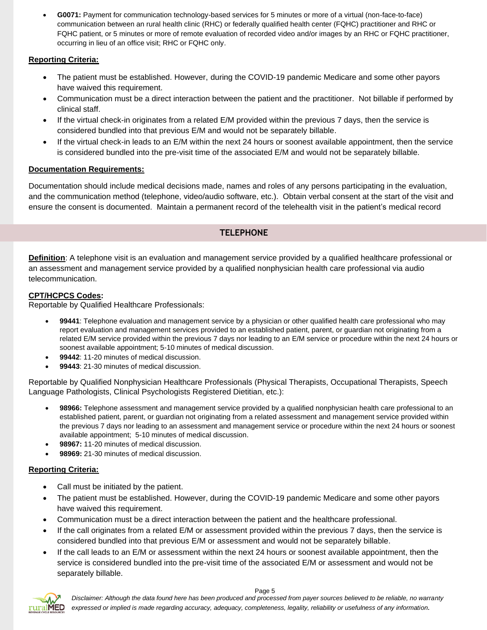• **G0071:** Payment for communication technology-based services for 5 minutes or more of a virtual (non-face-to-face) communication between an rural health clinic (RHC) or federally qualified health center (FQHC) practitioner and RHC or FQHC patient, or 5 minutes or more of remote evaluation of recorded video and/or images by an RHC or FQHC practitioner, occurring in lieu of an office visit; RHC or FQHC only.

# **Reporting Criteria:**

- The patient must be established. However, during the COVID-19 pandemic Medicare and some other payors have waived this requirement.
- Communication must be a direct interaction between the patient and the practitioner. Not billable if performed by clinical staff.
- If the virtual check-in originates from a related E/M provided within the previous 7 days, then the service is considered bundled into that previous E/M and would not be separately billable.
- If the virtual check-in leads to an E/M within the next 24 hours or soonest available appointment, then the service is considered bundled into the pre-visit time of the associated E/M and would not be separately billable.

### **Documentation Requirements:**

Documentation should include medical decisions made, names and roles of any persons participating in the evaluation, and the communication method (telephone, video/audio software, etc.). Obtain verbal consent at the start of the visit and ensure the consent is documented. Maintain a permanent record of the telehealth visit in the patient's medical record

### **TELEPHONE**

<span id="page-4-0"></span>**Definition**: A telephone visit is an evaluation and management service provided by a qualified healthcare professional or an assessment and management service provided by a qualified nonphysician health care professional via audio telecommunication.

#### **CPT/HCPCS Codes:**

Reportable by Qualified Healthcare Professionals:

- **99441**: Telephone evaluation and management service by a physician or other qualified health care professional who may report evaluation and management services provided to an established patient, parent, or guardian not originating from a related E/M service provided within the previous 7 days nor leading to an E/M service or procedure within the next 24 hours or soonest available appointment; 5-10 minutes of medical discussion.
- **99442**: 11-20 minutes of medical discussion.
- **99443**: 21-30 minutes of medical discussion.

Reportable by Qualified Nonphysician Healthcare Professionals (Physical Therapists, Occupational Therapists, Speech Language Pathologists, Clinical Psychologists Registered Dietitian, etc.):

- **98966:** Telephone assessment and management service provided by a qualified nonphysician health care professional to an established patient, parent, or guardian not originating from a related assessment and management service provided within the previous 7 days nor leading to an assessment and management service or procedure within the next 24 hours or soonest available appointment; 5-10 minutes of medical discussion.
- **98967:** 11-20 minutes of medical discussion.
- **98969:** 21-30 minutes of medical discussion.

#### **Reporting Criteria:**

- Call must be initiated by the patient.
- The patient must be established. However, during the COVID-19 pandemic Medicare and some other payors have waived this requirement.
- Communication must be a direct interaction between the patient and the healthcare professional.
- If the call originates from a related E/M or assessment provided within the previous 7 days, then the service is considered bundled into that previous E/M or assessment and would not be separately billable.
- If the call leads to an E/M or assessment within the next 24 hours or soonest available appointment, then the service is considered bundled into the pre-visit time of the associated E/M or assessment and would not be separately billable.

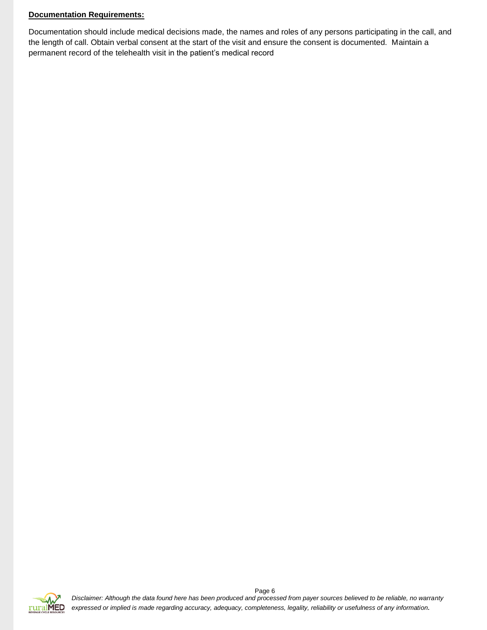#### **Documentation Requirements:**

Documentation should include medical decisions made, the names and roles of any persons participating in the call, and the length of call. Obtain verbal consent at the start of the visit and ensure the consent is documented. Maintain a permanent record of the telehealth visit in the patient's medical record

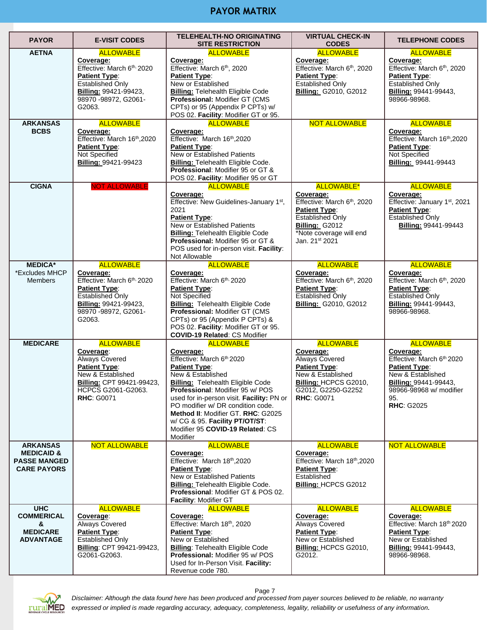# **PAYOR MATRIX**

<span id="page-6-0"></span>

| <b>PAYOR</b>                                                                          | <b>E-VISIT CODES</b>                                                                                                                                                        | TELEHEALTH-NO ORIGINATING<br><b>SITE RESTRICTION</b>                                                                                                                                                                                                                                                                                                                                              | <b>VIRTUAL CHECK-IN</b><br><b>CODES</b>                                                                                                                                                     | <b>TELEPHONE CODES</b>                                                                                                                                                           |
|---------------------------------------------------------------------------------------|-----------------------------------------------------------------------------------------------------------------------------------------------------------------------------|---------------------------------------------------------------------------------------------------------------------------------------------------------------------------------------------------------------------------------------------------------------------------------------------------------------------------------------------------------------------------------------------------|---------------------------------------------------------------------------------------------------------------------------------------------------------------------------------------------|----------------------------------------------------------------------------------------------------------------------------------------------------------------------------------|
| <b>AETNA</b>                                                                          | <b>ALLOWABLE</b><br>Coverage:<br>Effective: March 6th, 2020<br><b>Patient Type:</b><br><b>Established Only</b><br>Billing: 99421-99423,<br>98970 - 98972, G2061 -<br>G2063. | <b>ALLOWABLE</b><br>Coverage:<br>Effective: March 6 <sup>th</sup> , 2020<br><b>Patient Type:</b><br>New or Established<br><b>Billing: Telehealth Eligible Code</b><br>Professional: Modifier GT (CMS<br>CPTs) or 95 (Appendix P CPTs) w/<br>POS 02. Facility: Modifier GT or 95.                                                                                                                  | <b>ALLOWABLE</b><br>Coverage:<br>Effective: March 6 <sup>th</sup> , 2020<br><b>Patient Type:</b><br>Established Only<br><b>Billing: G2010, G2012</b>                                        | <b>ALLOWABLE</b><br>Coverage:<br>Effective: March 6 <sup>th</sup> , 2020<br><b>Patient Type:</b><br><b>Established Only</b><br>Billing: 99441-99443,<br>98966-98968.             |
| <b>ARKANSAS</b><br><b>BCBS</b>                                                        | <b>ALLOWABLE</b><br>Coverage:<br>Effective: March 16 <sup>th</sup> , 2020<br><b>Patient Type:</b><br>Not Specified<br>Billing: 99421-99423                                  | <b>ALLOWABLE</b><br>Coverage:<br>Effective: March 16th, 2020<br>Patient Type:<br>New or Established Patients<br>Billing: Telehealth Eligible Code.<br>Professional: Modifier 95 or GT &<br>POS 02. Facility: Modifier 95 or GT                                                                                                                                                                    | <b>NOT ALLOWABLE</b>                                                                                                                                                                        | <b>ALLOWABLE</b><br>Coverage:<br>Effective: March 16th, 2020<br>Patient Type:<br>Not Specified<br>Billing: 99441-99443                                                           |
| <b>CIGNA</b>                                                                          | <b>NOT ALLOWABLE</b>                                                                                                                                                        | <b>ALLOWABLE</b><br>Coverage:<br>Effective: New Guidelines-January 1 <sup>st</sup> ,<br>2021<br><b>Patient Type:</b><br><b>New or Established Patients</b><br><b>Billing: Telehealth Eligible Code</b><br><b>Professional: Modifier 95 or GT &amp;</b><br>POS used for in-person visit. Facility:<br>Not Allowable                                                                                | <b>ALLOWABLE*</b><br>Coverage:<br>Effective: March 6 <sup>th</sup> , 2020<br><b>Patient Type:</b><br><b>Established Only</b><br>Billing: G2012<br>*Note coverage will end<br>Jan. 21st 2021 | <b>ALLOWABLE</b><br>Coverage:<br>Effective: January 1 <sup>st</sup> , 2021<br>Patient Type:<br><b>Established Only</b><br>Billing: 99441-99443                                   |
| <b>MEDICA*</b><br>*Excludes MHCP<br><b>Members</b>                                    | <b>ALLOWABLE</b><br>Coverage:<br>Effective: March 6th, 2020<br>Patient Type:<br><b>Established Only</b><br>Billing: 99421-99423,<br>98970 - 98972, G2061 -<br>G2063.        | <b>ALLOWABLE</b><br>Coverage:<br>Effective: March 6th, 2020<br>Patient Type:<br>Not Specified<br><b>Billing:</b> Telehealth Eligible Code<br>Professional: Modifier GT (CMS<br>CPTs) or 95 (Appendix P CPTs) &<br>POS 02. Facility: Modifier GT or 95.<br><b>COVID-19 Related: CS Modifier</b>                                                                                                    | <b>ALLOWABLE</b><br>Coverage:<br>Effective: March 6 <sup>th</sup> , 2020<br>Patient Type:<br>Established Only<br><b>Billing: G2010, G2012</b>                                               | <b>ALLOWABLE</b><br>Coverage:<br>Effective: March 6 <sup>th</sup> , 2020<br>Patient Type:<br><b>Established Only</b><br>Billing: 99441-99443,<br>98966-98968.                    |
| <b>MEDICARE</b>                                                                       | <b>ALLOWABLE</b><br>Coverage:<br>Always Covered<br><b>Patient Type:</b><br>New & Established<br>Billing: CPT 99421-99423,<br>HCPCS G2061-G2063.<br><b>RHC: G0071</b>        | <b>ALLOWABLE</b><br>Coverage:<br>Effective: March 6th 2020<br>Patient Type:<br>New & Established<br><b>Billing: Telehealth Eligible Code</b><br><b>Professional: Modifier 95 w/ POS</b><br>used for in-person visit. Facility: PN or<br>PO modifier w/ DR condition code.<br>Method II: Modifier GT. RHC: G2025<br>w/ CG & 95. Facility PT/OT/ST:<br>Modifier 95 COVID-19 Related: CS<br>Modifier | <b>ALLOWABLE</b><br>Coverage:<br>Always Covered<br>Patient Type:<br>New & Established<br>Billing: HCPCS G2010,<br>G2012, G2250-G2252<br><b>RHC: G0071</b>                                   | <b>ALLOWABLE</b><br>Coverage:<br>Effective: March 6th 2020<br>Patient Type:<br>New & Established<br>Billing: 99441-99443,<br>98966-98968 w/ modifier<br>95.<br><b>RHC: G2025</b> |
| <b>ARKANSAS</b><br><b>MEDICAID &amp;</b><br><b>PASSE MANGED</b><br><b>CARE PAYORS</b> | <b>NOT ALLOWABLE</b>                                                                                                                                                        | <b>ALLOWABLE</b><br>Coverage:<br>Effective: March 18th, 2020<br><b>Patient Type:</b><br>New or Established Patients<br>Billing: Telehealth Eligible Code.<br>Professional: Modifier GT & POS 02.<br>Facility: Modifier GT                                                                                                                                                                         | <b>ALLOWABLE</b><br>Coverage:<br>Effective: March 18th, 2020<br><b>Patient Type:</b><br>Established<br>Billing: HCPCS G2012                                                                 | <b>NOT ALLOWABLE</b>                                                                                                                                                             |
| <b>UHC</b><br><b>COMMERICAL</b><br>&<br><b>MEDICARE</b><br><b>ADVANTAGE</b>           | <b>ALLOWABLE</b><br>Coverage:<br>Always Covered<br>Patient Type:<br><b>Established Only</b><br>Billing: CPT 99421-99423,<br>G2061-G2063.                                    | <b>ALLOWABLE</b><br>Coverage:<br>Effective: March 18th, 2020<br><b>Patient Type:</b><br>New or Established<br><b>Billing: Telehealth Eligible Code</b><br>Professional: Modifier 95 w/ POS<br>Used for In-Person Visit. Facility:<br>Revenue code 780.                                                                                                                                            | <b>ALLOWABLE</b><br>Coverage:<br>Always Covered<br><b>Patient Type:</b><br>New or Established<br>Billing: HCPCS G2010,<br>G2012.                                                            | <b>ALLOWABLE</b><br>Coverage:<br>Effective: March 18th 2020<br><b>Patient Type:</b><br>New or Established<br><b>Billing: 99441-99443,</b><br>98966-98968.                        |

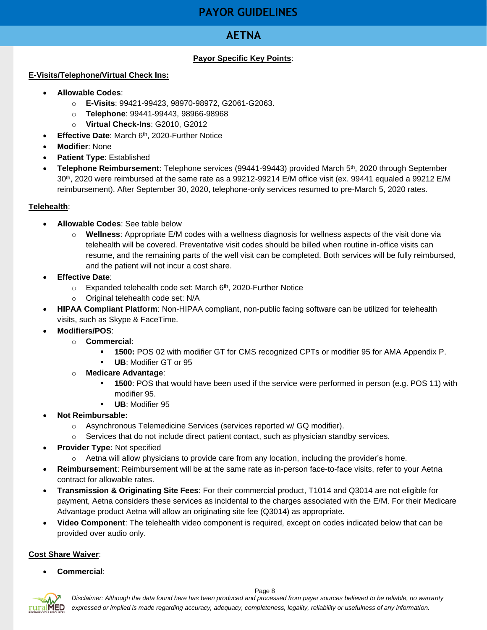# **PAYOR GUIDELINES**

# **AETNA**

# **Payor Specific Key Points**:

#### <span id="page-7-1"></span><span id="page-7-0"></span>**E-Visits/Telephone/Virtual Check Ins:**

- **Allowable Codes**:
	- o **E-Visits**: 99421-99423, 98970-98972, G2061-G2063.
	- o **Telephone**: 99441-99443, 98966-98968
	- o **Virtual Check-Ins**: G2010, G2012
- **Effective Date: March 6th, 2020-Further Notice**
- **Modifier**: None
- **Patient Type**: Established
- **Telephone Reimbursement**: Telephone services (99441-99443) provided March 5th , 2020 through September 30th, 2020 were reimbursed at the same rate as a 99212-99214 E/M office visit (ex. 99441 equaled a 99212 E/M reimbursement). After September 30, 2020, telephone-only services resumed to pre-March 5, 2020 rates.

#### **Telehealth**:

- **Allowable Codes**: See table below
	- o **Wellness**: Appropriate E/M codes with a wellness diagnosis for wellness aspects of the visit done via telehealth will be covered. Preventative visit codes should be billed when routine in-office visits can resume, and the remaining parts of the well visit can be completed. Both services will be fully reimbursed, and the patient will not incur a cost share.
- **Effective Date**:
	- $\circ$  Expanded telehealth code set: March 6<sup>th</sup>, 2020-Further Notice
	- o Original telehealth code set: N/A
- **HIPAA Compliant Platform**: Non-HIPAA compliant, non-public facing software can be utilized for telehealth visits, such as Skype & FaceTime.
- **Modifiers/POS**:
	- o **Commercial**:
		- **1500:** POS 02 with modifier GT for CMS recognized CPTs or modifier 95 for AMA Appendix P.
		- **UB**: Modifier GT or 95
	- o **Medicare Advantage**:
		- **1500**: POS that would have been used if the service were performed in person (e.g. POS 11) with modifier 95.
		- **UB**: Modifier 95
- **Not Reimbursable:** 
	- $\circ$  Asynchronous Telemedicine Services (services reported w/ GQ modifier).
	- $\circ$  Services that do not include direct patient contact, such as physician standby services.
- **Provider Type:** Not specified
	- $\circ$  Aetna will allow physicians to provide care from any location, including the provider's home.
- **Reimbursement**: Reimbursement will be at the same rate as in-person face-to-face visits, refer to your Aetna contract for allowable rates.
- **Transmission & Originating Site Fees**: For their commercial product, T1014 and Q3014 are not eligible for payment, Aetna considers these services as incidental to the charges associated with the E/M. For their Medicare Advantage product Aetna will allow an originating site fee (Q3014) as appropriate.
- **Video Component**: The telehealth video component is required, except on codes indicated below that can be provided over audio only.

# **Cost Share Waiver**:

• **Commercial**:

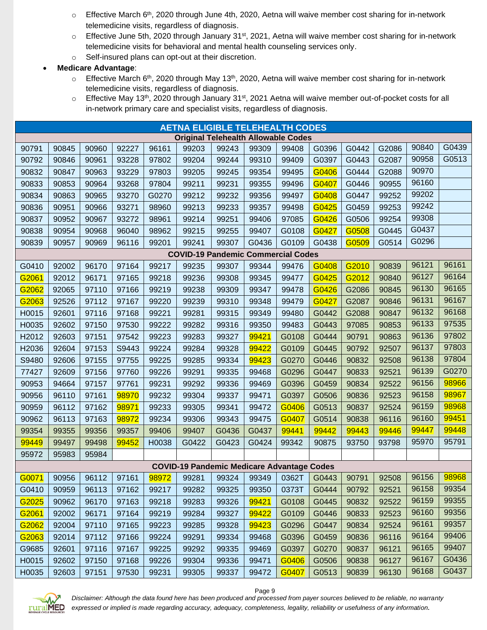- $\circ$  Effective March 6<sup>th</sup>, 2020 through June 4th, 2020, Aetna will waive member cost sharing for in-network telemedicine visits, regardless of diagnosis.
- $\circ$  Effective June 5th, 2020 through January 31<sup>st</sup>, 2021, Aetna will waive member cost sharing for in-network telemedicine visits for behavioral and mental health counseling services only.
- o Self-insured plans can opt-out at their discretion.

### • **Medicare Advantage**:

- $\circ$  Effective March 6<sup>th</sup>, 2020 through May 13<sup>th</sup>, 2020, Aetna will waive member cost sharing for in-network telemedicine visits, regardless of diagnosis.
- $\circ$  Effective May 13<sup>th</sup>, 2020 through January 31<sup>st</sup>, 2021 Aetna will waive member out-of-pocket costs for all in-network primary care and specialist visits, regardless of diagnosis.

| <b>AETNA ELIGIBLE TELEHEALTH CODES</b> |       |       |       |       |                                                   |       |       |       |       |       |       |       |       |
|----------------------------------------|-------|-------|-------|-------|---------------------------------------------------|-------|-------|-------|-------|-------|-------|-------|-------|
|                                        |       |       |       |       | <b>Original Telehealth Allowable Codes</b>        |       |       |       |       |       |       |       |       |
| 90791                                  | 90845 | 90960 | 92227 | 96161 | 99203                                             | 99243 | 99309 | 99408 | G0396 | G0442 | G2086 | 90840 | G0439 |
| 90792                                  | 90846 | 90961 | 93228 | 97802 | 99204                                             | 99244 | 99310 | 99409 | G0397 | G0443 | G2087 | 90958 | G0513 |
| 90832                                  | 90847 | 90963 | 93229 | 97803 | 99205                                             | 99245 | 99354 | 99495 | G0406 | G0444 | G2088 | 90970 |       |
| 90833                                  | 90853 | 90964 | 93268 | 97804 | 99211                                             | 99231 | 99355 | 99496 | G0407 | G0446 | 90955 | 96160 |       |
| 90834                                  | 90863 | 90965 | 93270 | G0270 | 99212                                             | 99232 | 99356 | 99497 | G0408 | G0447 | 99252 | 99202 |       |
| 90836                                  | 90951 | 90966 | 93271 | 98960 | 99213                                             | 99233 | 99357 | 99498 | G0425 | G0459 | 99253 | 99242 |       |
| 90837                                  | 90952 | 90967 | 93272 | 98961 | 99214                                             | 99251 | 99406 | 97085 | G0426 | G0506 | 99254 | 99308 |       |
| 90838                                  | 90954 | 90968 | 96040 | 98962 | 99215                                             | 99255 | 99407 | G0108 | G0427 | G0508 | G0445 | G0437 |       |
| 90839                                  | 90957 | 90969 | 96116 | 99201 | 99241                                             | 99307 | G0436 | G0109 | G0438 | G0509 | G0514 | G0296 |       |
|                                        |       |       |       |       | <b>COVID-19 Pandemic Commercial Codes</b>         |       |       |       |       |       |       |       |       |
| G0410                                  | 92002 | 96170 | 97164 | 99217 | 99235                                             | 99307 | 99344 | 99476 | G0408 | G2010 | 90839 | 96121 | 96161 |
| G2061                                  | 92012 | 96171 | 97165 | 99218 | 99236                                             | 99308 | 99345 | 99477 | G0425 | G2012 | 90840 | 96127 | 96164 |
| G2062                                  | 92065 | 97110 | 97166 | 99219 | 99238                                             | 99309 | 99347 | 99478 | G0426 | G2086 | 90845 | 96130 | 96165 |
| G2063                                  | 92526 | 97112 | 97167 | 99220 | 99239                                             | 99310 | 99348 | 99479 | G0427 | G2087 | 90846 | 96131 | 96167 |
| H0015                                  | 92601 | 97116 | 97168 | 99221 | 99281                                             | 99315 | 99349 | 99480 | G0442 | G2088 | 90847 | 96132 | 96168 |
| H0035                                  | 92602 | 97150 | 97530 | 99222 | 99282                                             | 99316 | 99350 | 99483 | G0443 | 97085 | 90853 | 96133 | 97535 |
| H2012                                  | 92603 | 97151 | 97542 | 99223 | 99283                                             | 99327 | 99421 | G0108 | G0444 | 90791 | 90863 | 96136 | 97802 |
| H2036                                  | 92604 | 97153 | S9443 | 99224 | 99284                                             | 99328 | 99422 | G0109 | G0445 | 90792 | 92507 | 96137 | 97803 |
| S9480                                  | 92606 | 97155 | 97755 | 99225 | 99285                                             | 99334 | 99423 | G0270 | G0446 | 90832 | 92508 | 96138 | 97804 |
| 77427                                  | 92609 | 97156 | 97760 | 99226 | 99291                                             | 99335 | 99468 | G0296 | G0447 | 90833 | 92521 | 96139 | G0270 |
| 90953                                  | 94664 | 97157 | 97761 | 99231 | 99292                                             | 99336 | 99469 | G0396 | G0459 | 90834 | 92522 | 96156 | 98966 |
| 90956                                  | 96110 | 97161 | 98970 | 99232 | 99304                                             | 99337 | 99471 | G0397 | G0506 | 90836 | 92523 | 96158 | 98967 |
| 90959                                  | 96112 | 97162 | 98971 | 99233 | 99305                                             | 99341 | 99472 | G0406 | G0513 | 90837 | 92524 | 96159 | 98968 |
| 90962                                  | 96113 | 97163 | 98972 | 99234 | 99306                                             | 99343 | 99475 | G0407 | G0514 | 90838 | 96116 | 96160 | 99451 |
| 99354                                  | 99355 | 99356 | 99357 | 99406 | 99407                                             | G0436 | G0437 | 99441 | 99442 | 99443 | 99446 | 99447 | 99448 |
| 99449                                  | 99497 | 99498 | 99452 | H0038 | G0422                                             | G0423 | G0424 | 99342 | 90875 | 93750 | 93798 | 95970 | 95791 |
| 95972                                  | 95983 | 95984 |       |       |                                                   |       |       |       |       |       |       |       |       |
|                                        |       |       |       |       | <b>COVID-19 Pandemic Medicare Advantage Codes</b> |       |       |       |       |       |       |       |       |
| G0071                                  | 90956 | 96112 | 97161 |       | 98972 99281 99324 99349 0362T G0443 90791         |       |       |       |       |       | 92508 | 96156 | 98968 |
| G0410                                  | 90959 | 96113 | 97162 | 99217 | 99282                                             | 99325 | 99350 | 0373T | G0444 | 90792 | 92521 | 96158 | 99354 |
| G2025                                  | 90962 | 96170 | 97163 | 99218 | 99283                                             | 99326 | 99421 | G0108 | G0445 | 90832 | 92522 | 96159 | 99355 |
| G2061                                  | 92002 | 96171 | 97164 | 99219 | 99284                                             | 99327 | 99422 | G0109 | G0446 | 90833 | 92523 | 96160 | 99356 |
| G2062                                  | 92004 | 97110 | 97165 | 99223 | 99285                                             | 99328 | 99423 | G0296 | G0447 | 90834 | 92524 | 96161 | 99357 |
| G2063                                  | 92014 | 97112 | 97166 | 99224 | 99291                                             | 99334 | 99468 | G0396 | G0459 | 90836 | 96116 | 96164 | 99406 |
| G9685                                  | 92601 | 97116 | 97167 | 99225 | 99292                                             | 99335 | 99469 | G0397 | G0270 | 90837 | 96121 | 96165 | 99407 |
| H0015                                  | 92602 | 97150 | 97168 | 99226 | 99304                                             | 99336 | 99471 | G0406 | G0506 | 90838 | 96127 | 96167 | G0436 |
| H0035                                  | 92603 | 97151 | 97530 | 99231 | 99305                                             | 99337 | 99472 | G0407 | G0513 | 90839 | 96130 | 96168 | G0437 |



*Disclaimer: Although the data found here has been produced and processed from payer sources believed to be reliable, no warranty expressed or implied is made regarding accuracy, adequacy, completeness, legality, reliability or usefulness of any information.*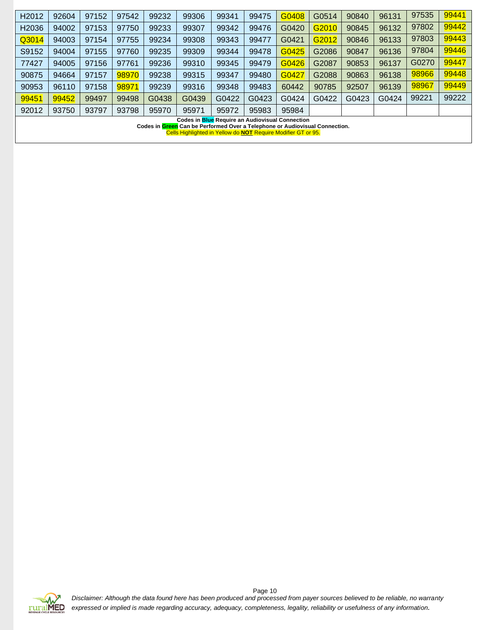| H <sub>2012</sub>                                      | 92604                                                                       | 97152 | 97542 | 99232 | 99306 | 99341 | 99475 | G0408 | G0514 | 90840 | 96131 | 97535 | 99441 |
|--------------------------------------------------------|-----------------------------------------------------------------------------|-------|-------|-------|-------|-------|-------|-------|-------|-------|-------|-------|-------|
| H <sub>2036</sub>                                      | 94002                                                                       | 97153 | 97750 | 99233 | 99307 | 99342 | 99476 | G0420 | G2010 | 90845 | 96132 | 97802 | 99442 |
| Q3014                                                  | 94003                                                                       | 97154 | 97755 | 99234 | 99308 | 99343 | 99477 | G0421 | G2012 | 90846 | 96133 | 97803 | 99443 |
| S9152                                                  | 94004                                                                       | 97155 | 97760 | 99235 | 99309 | 99344 | 99478 | G0425 | G2086 | 90847 | 96136 | 97804 | 99446 |
| 77427                                                  | 94005                                                                       | 97156 | 97761 | 99236 | 99310 | 99345 | 99479 | G0426 | G2087 | 90853 | 96137 | G0270 | 99447 |
| 90875                                                  | 94664                                                                       | 97157 | 98970 | 99238 | 99315 | 99347 | 99480 | G0427 | G2088 | 90863 | 96138 | 98966 | 99448 |
| 90953                                                  | 96110                                                                       | 97158 | 98971 | 99239 | 99316 | 99348 | 99483 | 60442 | 90785 | 92507 | 96139 | 98967 | 99449 |
| 99451                                                  | 99452                                                                       | 99497 | 99498 | G0438 | G0439 | G0422 | G0423 | G0424 | G0422 | G0423 | G0424 | 99221 | 99222 |
| 92012                                                  | 93750                                                                       | 93797 | 93798 | 95970 | 95971 | 95972 | 95983 | 95984 |       |       |       |       |       |
| <b>Codes in Blue Require an Audiovisual Connection</b> |                                                                             |       |       |       |       |       |       |       |       |       |       |       |       |
|                                                        | Codes in Green Can be Performed Over a Telephone or Audiovisual Connection. |       |       |       |       |       |       |       |       |       |       |       |       |
|                                                        | Cells Highlighted in Yellow do NOT Require Modifier GT or 95.               |       |       |       |       |       |       |       |       |       |       |       |       |

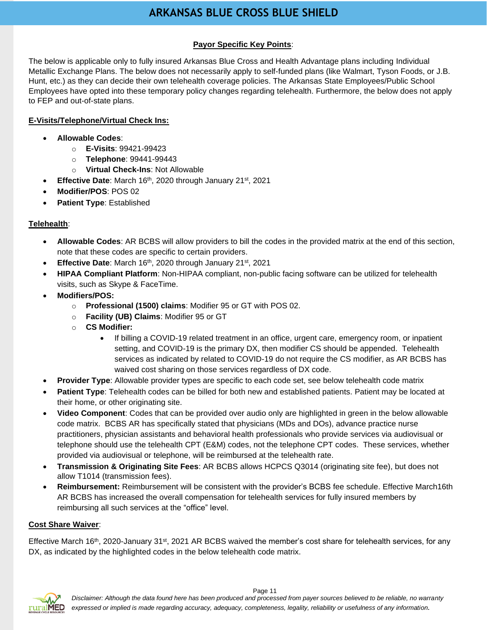# **ARKANSAS BLUE CROSS BLUE SHIELD**

# **Payor Specific Key Points**:

<span id="page-10-0"></span>The below is applicable only to fully insured Arkansas Blue Cross and Health Advantage plans including Individual Metallic Exchange Plans. The below does not necessarily apply to self-funded plans (like Walmart, Tyson Foods, or J.B. Hunt, etc.) as they can decide their own telehealth coverage policies. The Arkansas State Employees/Public School Employees have opted into these temporary policy changes regarding telehealth. Furthermore, the below does not apply to FEP and out-of-state plans.

### **E-Visits/Telephone/Virtual Check Ins:**

- **Allowable Codes**:
	- o **E-Visits**: 99421-99423
	- o **Telephone**: 99441-99443
	- o **Virtual Check-Ins**: Not Allowable
- Effective Date: March 16<sup>th</sup>, 2020 through January 21<sup>st</sup>, 2021
- **Modifier/POS**: POS 02
- **Patient Type**: Established

### **Telehealth**:

- **Allowable Codes**: AR BCBS will allow providers to bill the codes in the provided matrix at the end of this section, note that these codes are specific to certain providers.
- **Effective Date:** March 16th, 2020 through January 21st, 2021
- **HIPAA Compliant Platform**: Non-HIPAA compliant, non-public facing software can be utilized for telehealth visits, such as Skype & FaceTime.
- **Modifiers/POS:** 
	- o **Professional (1500) claims**: Modifier 95 or GT with POS 02.
	- o **Facility (UB) Claims**: Modifier 95 or GT
	- o **CS Modifier:** 
		- If billing a COVID-19 related treatment in an office, urgent care, emergency room, or inpatient setting, and COVID-19 is the primary DX, then modifier CS should be appended. Telehealth services as indicated by related to COVID-19 do not require the CS modifier, as AR BCBS has waived cost sharing on those services regardless of DX code.
- **Provider Type**: Allowable provider types are specific to each code set, see below telehealth code matrix
- **Patient Type**: Telehealth codes can be billed for both new and established patients. Patient may be located at their home, or other originating site.
- **Video Component**: Codes that can be provided over audio only are highlighted in green in the below allowable code matrix. BCBS AR has specifically stated that physicians (MDs and DOs), advance practice nurse practitioners, physician assistants and behavioral health professionals who provide services via audiovisual or telephone should use the telehealth CPT (E&M) codes, not the telephone CPT codes. These services, whether provided via audiovisual or telephone, will be reimbursed at the telehealth rate.
- **Transmission & Originating Site Fees**: AR BCBS allows HCPCS Q3014 (originating site fee), but does not allow T1014 (transmission fees).
- **Reimbursement:** Reimbursement will be consistent with the provider's BCBS fee schedule. Effective March16th AR BCBS has increased the overall compensation for telehealth services for fully insured members by reimbursing all such services at the "office" level.

#### **Cost Share Waiver**:

Effective March 16<sup>th</sup>, 2020-January 31<sup>st</sup>, 2021 AR BCBS waived the member's cost share for telehealth services, for any DX, as indicated by the highlighted codes in the below telehealth code matrix.

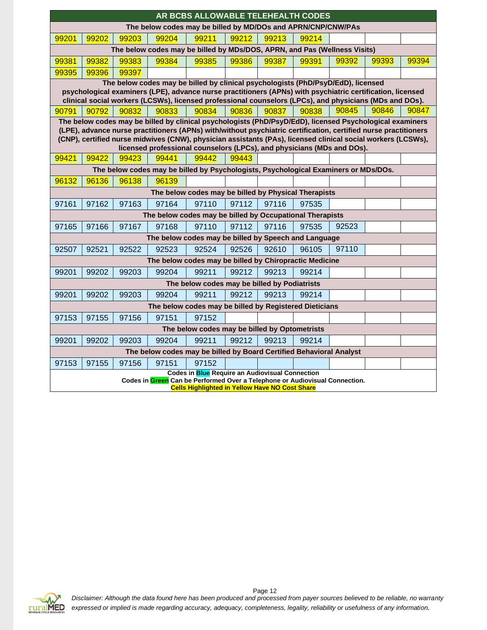| AR BCBS ALLOWABLE TELEHEALTH CODES                                  |                                                                                                                                      |       |                                                                                                                 |                                                        |       |       |       |       |       |       |  |
|---------------------------------------------------------------------|--------------------------------------------------------------------------------------------------------------------------------------|-------|-----------------------------------------------------------------------------------------------------------------|--------------------------------------------------------|-------|-------|-------|-------|-------|-------|--|
|                                                                     | The below codes may be billed by MD/DOs and APRN/CNP/CNW/PAs                                                                         |       |                                                                                                                 |                                                        |       |       |       |       |       |       |  |
| 99201                                                               | 99202                                                                                                                                | 99203 | 99204                                                                                                           | 99211                                                  | 99212 | 99213 | 99214 |       |       |       |  |
|                                                                     |                                                                                                                                      |       | The below codes may be billed by MDs/DOS, APRN, and Pas (Wellness Visits)                                       |                                                        |       |       |       |       |       |       |  |
| 99381                                                               | 99382                                                                                                                                | 99383 | 99384                                                                                                           | 99385                                                  | 99386 | 99387 | 99391 | 99392 | 99393 | 99394 |  |
| 99395                                                               | 99396                                                                                                                                | 99397 |                                                                                                                 |                                                        |       |       |       |       |       |       |  |
|                                                                     | The below codes may be billed by clinical psychologists (PhD/PsyD/EdD), licensed                                                     |       |                                                                                                                 |                                                        |       |       |       |       |       |       |  |
|                                                                     | psychological examiners (LPE), advance nurse practitioners (APNs) with psychiatric certification, licensed                           |       |                                                                                                                 |                                                        |       |       |       |       |       |       |  |
|                                                                     | clinical social workers (LCSWs), licensed professional counselors (LPCs), and physicians (MDs and DOs).                              |       |                                                                                                                 |                                                        |       |       |       |       |       |       |  |
| 90791                                                               | 90792                                                                                                                                | 90832 | 90833                                                                                                           | 90834                                                  | 90836 | 90837 | 90838 | 90845 | 90846 | 90847 |  |
|                                                                     |                                                                                                                                      |       | The below codes may be billed by clinical psychologists (PhD/PsyD/EdD), licensed Psychological examiners        |                                                        |       |       |       |       |       |       |  |
|                                                                     |                                                                                                                                      |       | (LPE), advance nurse practitioners (APNs) with/without psychiatric certification, certified nurse practitioners |                                                        |       |       |       |       |       |       |  |
|                                                                     |                                                                                                                                      |       | (CNP), certified nurse midwives (CNW), physician assistants (PAs), licensed clinical social workers (LCSWs),    |                                                        |       |       |       |       |       |       |  |
|                                                                     |                                                                                                                                      |       | licensed professional counselors (LPCs), and physicians (MDs and DOs).                                          |                                                        |       |       |       |       |       |       |  |
| 99421                                                               | 99422                                                                                                                                | 99423 | 99441                                                                                                           | 99442                                                  | 99443 |       |       |       |       |       |  |
|                                                                     |                                                                                                                                      |       | The below codes may be billed by Psychologists, Psychological Examiners or MDs/DOs.                             |                                                        |       |       |       |       |       |       |  |
| 96132                                                               | 96136                                                                                                                                | 96138 | 96139                                                                                                           |                                                        |       |       |       |       |       |       |  |
|                                                                     | The below codes may be billed by Physical Therapists                                                                                 |       |                                                                                                                 |                                                        |       |       |       |       |       |       |  |
| 97161                                                               | 97162                                                                                                                                | 97163 | 97164                                                                                                           | 97110                                                  | 97112 | 97116 | 97535 |       |       |       |  |
|                                                                     |                                                                                                                                      |       | The below codes may be billed by Occupational Therapists                                                        |                                                        |       |       |       |       |       |       |  |
| 97165                                                               | 97166                                                                                                                                | 97167 | 97168                                                                                                           | 97110                                                  | 97112 | 97116 | 97535 | 92523 |       |       |  |
|                                                                     |                                                                                                                                      |       | The below codes may be billed by Speech and Language                                                            |                                                        |       |       |       |       |       |       |  |
| 92507                                                               | 92521                                                                                                                                | 92522 | 92523                                                                                                           | 92524                                                  | 92526 | 92610 | 96105 | 97110 |       |       |  |
|                                                                     |                                                                                                                                      |       | The below codes may be billed by Chiropractic Medicine                                                          |                                                        |       |       |       |       |       |       |  |
| 99201                                                               | 99202                                                                                                                                | 99203 | 99204                                                                                                           | 99211                                                  | 99212 | 99213 | 99214 |       |       |       |  |
|                                                                     |                                                                                                                                      |       |                                                                                                                 | The below codes may be billed by Podiatrists           |       |       |       |       |       |       |  |
| 99201                                                               | 99202                                                                                                                                | 99203 | 99204                                                                                                           | 99211                                                  | 99212 | 99213 | 99214 |       |       |       |  |
|                                                                     |                                                                                                                                      |       |                                                                                                                 | The below codes may be billed by Registered Dieticians |       |       |       |       |       |       |  |
| 97153                                                               | 97155                                                                                                                                | 97156 | 97151                                                                                                           | 97152                                                  |       |       |       |       |       |       |  |
|                                                                     |                                                                                                                                      |       |                                                                                                                 | The below codes may be billed by Optometrists          |       |       |       |       |       |       |  |
| 99201                                                               | 99202                                                                                                                                | 99203 | 99204                                                                                                           | 99211                                                  | 99212 | 99213 | 99214 |       |       |       |  |
| The below codes may be billed by Board Certified Behavioral Analyst |                                                                                                                                      |       |                                                                                                                 |                                                        |       |       |       |       |       |       |  |
| 97153                                                               | 97155<br>97156<br>97152<br>97151                                                                                                     |       |                                                                                                                 |                                                        |       |       |       |       |       |       |  |
| <b>Codes in Blue Require an Audiovisual Connection</b>              |                                                                                                                                      |       |                                                                                                                 |                                                        |       |       |       |       |       |       |  |
|                                                                     | Codes in Green Can be Performed Over a Telephone or Audiovisual Connection.<br><b>Cells Highlighted in Yellow Have NO Cost Share</b> |       |                                                                                                                 |                                                        |       |       |       |       |       |       |  |

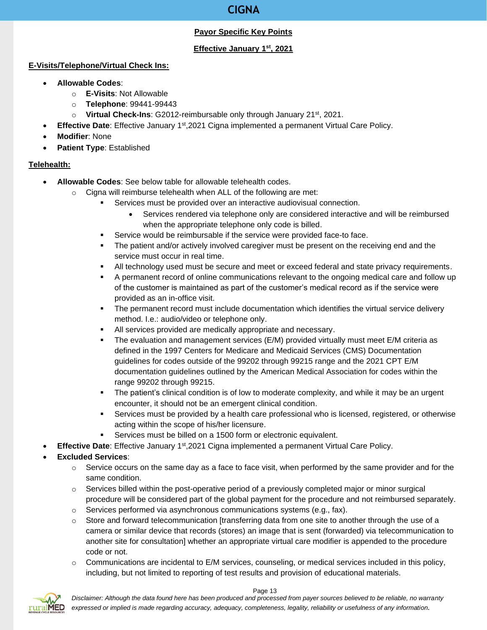# **CIGNA**

# **Payor Specific Key Points**

# **Effective January 1st, 2021**

### <span id="page-12-0"></span>**E-Visits/Telephone/Virtual Check Ins:**

- **Allowable Codes**:
	- o **E-Visits**: Not Allowable
	- o **Telephone**: 99441-99443
	- o **Virtual Check-Ins**: G2012-reimbursable only through January 21st, 2021.
- **Effective Date**: Effective January 1<sup>st</sup>,2021 Cigna implemented a permanent Virtual Care Policy.
- **Modifier**: None
- **Patient Type**: Established

# **Telehealth:**

- **Allowable Codes**: See below table for allowable telehealth codes.
	- o Cigna will reimburse telehealth when ALL of the following are met:
		- Services must be provided over an interactive audiovisual connection.
			- Services rendered via telephone only are considered interactive and will be reimbursed when the appropriate telephone only code is billed.
		- Service would be reimbursable if the service were provided face-to face.
		- **•** The patient and/or actively involved caregiver must be present on the receiving end and the service must occur in real time.
		- All technology used must be secure and meet or exceed federal and state privacy requirements.
		- A permanent record of online communications relevant to the ongoing medical care and follow up of the customer is maintained as part of the customer's medical record as if the service were provided as an in-office visit.
		- **•** The permanent record must include documentation which identifies the virtual service delivery method. I.e.: audio/video or telephone only.
		- All services provided are medically appropriate and necessary.
		- **•** The evaluation and management services (E/M) provided virtually must meet E/M criteria as defined in the 1997 Centers for Medicare and Medicaid Services (CMS) Documentation guidelines for codes outside of the 99202 through 99215 range and the 2021 CPT E/M documentation guidelines outlined by the American Medical Association for codes within the range 99202 through 99215.
		- The patient's clinical condition is of low to moderate complexity, and while it may be an urgent encounter, it should not be an emergent clinical condition.
		- **EXECT** Services must be provided by a health care professional who is licensed, registered, or otherwise acting within the scope of his/her licensure.
		- Services must be billed on a 1500 form or electronic equivalent.
	- **Effective Date**: Effective January 1<sup>st</sup>,2021 Cigna implemented a permanent Virtual Care Policy.
- **Excluded Services**:
	- $\circ$  Service occurs on the same day as a face to face visit, when performed by the same provider and for the same condition.
	- $\circ$  Services billed within the post-operative period of a previously completed major or minor surgical procedure will be considered part of the global payment for the procedure and not reimbursed separately.
	- $\circ$  Services performed via asynchronous communications systems (e.g., fax).
	- $\circ$  Store and forward telecommunication [transferring data from one site to another through the use of a camera or similar device that records (stores) an image that is sent (forwarded) via telecommunication to another site for consultation] whether an appropriate virtual care modifier is appended to the procedure code or not.
	- $\circ$  Communications are incidental to E/M services, counseling, or medical services included in this policy, including, but not limited to reporting of test results and provision of educational materials.



*Disclaimer: Although the data found here has been produced and processed from payer sources believed to be reliable, no warranty expressed or implied is made regarding accuracy, adequacy, completeness, legality, reliability or usefulness of any information.*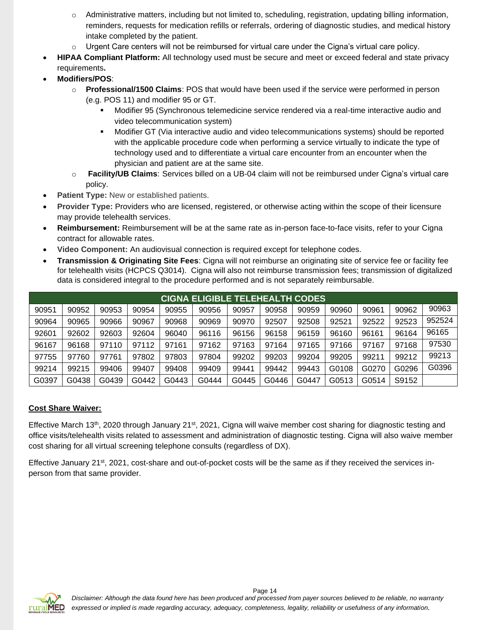- $\circ$  Administrative matters, including but not limited to, scheduling, registration, updating billing information, reminders, requests for medication refills or referrals, ordering of diagnostic studies, and medical history intake completed by the patient.
- $\circ$  Urgent Care centers will not be reimbursed for virtual care under the Cigna's virtual care policy.
- **HIPAA Compliant Platform:** All technology used must be secure and meet or exceed federal and state privacy requirements**.**
- **Modifiers/POS**:
	- o **Professional/1500 Claims**: POS that would have been used if the service were performed in person (e.g. POS 11) and modifier 95 or GT.
		- Modifier 95 (Synchronous telemedicine service rendered via a real-time interactive audio and video telecommunication system)
		- Modifier GT (Via interactive audio and video telecommunications systems) should be reported with the applicable procedure code when performing a service virtually to indicate the type of technology used and to differentiate a virtual care encounter from an encounter when the physician and patient are at the same site.
	- o **Facility/UB Claims**: Services billed on a UB-04 claim will not be reimbursed under Cigna's virtual care policy.
- **Patient Type:** New or established patients.
- **Provider Type:** Providers who are licensed, registered, or otherwise acting within the scope of their licensure may provide telehealth services.
- **Reimbursement:** Reimbursement will be at the same rate as in-person face-to-face visits, refer to your Cigna contract for allowable rates.
- **Video Component:** An audiovisual connection is required except for telephone codes.
- **Transmission & Originating Site Fees**: Cigna will not reimburse an originating site of service fee or facility fee for telehealth visits (HCPCS Q3014). Cigna will also not reimburse transmission fees; transmission of digitalized data is considered integral to the procedure performed and is not separately reimbursable.

|       | <b>CIGNA ELIGIBLE TELEHEALTH CODES</b> |       |       |       |       |       |       |       |       |       |       |        |
|-------|----------------------------------------|-------|-------|-------|-------|-------|-------|-------|-------|-------|-------|--------|
| 90951 | 90952                                  | 90953 | 90954 | 90955 | 90956 | 90957 | 90958 | 90959 | 90960 | 90961 | 90962 | 90963  |
| 90964 | 90965                                  | 90966 | 90967 | 90968 | 90969 | 90970 | 92507 | 92508 | 92521 | 92522 | 92523 | 952524 |
| 92601 | 92602                                  | 92603 | 92604 | 96040 | 96116 | 96156 | 96158 | 96159 | 96160 | 96161 | 96164 | 96165  |
| 96167 | 96168                                  | 97110 | 97112 | 97161 | 97162 | 97163 | 97164 | 97165 | 97166 | 97167 | 97168 | 97530  |
| 97755 | 97760                                  | 97761 | 97802 | 97803 | 97804 | 99202 | 99203 | 99204 | 99205 | 99211 | 99212 | 99213  |
| 99214 | 99215                                  | 99406 | 99407 | 99408 | 99409 | 99441 | 99442 | 99443 | G0108 | G0270 | G0296 | G0396  |
| G0397 | G0438                                  | G0439 | G0442 | G0443 | G0444 | G0445 | G0446 | G0447 | G0513 | G0514 | S9152 |        |

#### **Cost Share Waiver:**

Effective March 13<sup>th</sup>, 2020 through January 21<sup>st</sup>, 2021, Cigna will waive member cost sharing for diagnostic testing and office visits/telehealth visits related to assessment and administration of diagnostic testing. Cigna will also waive member cost sharing for all virtual screening telephone consults (regardless of DX).

Effective January 21 $st$ , 2021, cost-share and out-of-pocket costs will be the same as if they received the services inperson from that same provider.

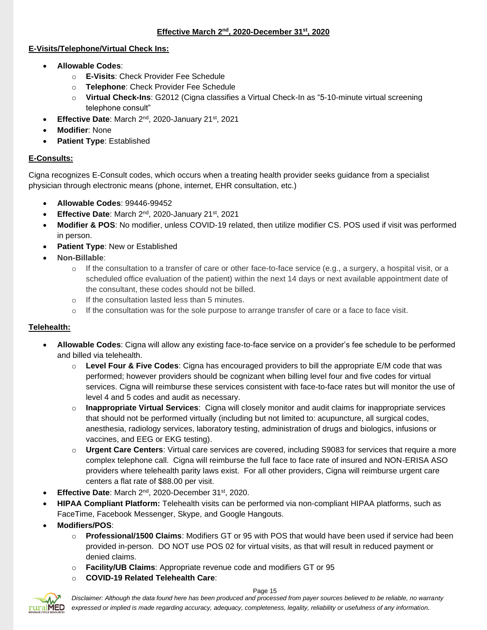### **E-Visits/Telephone/Virtual Check Ins:**

- **Allowable Codes**:
	- o **E-Visits**: Check Provider Fee Schedule
	- o **Telephone**: Check Provider Fee Schedule
	- o **Virtual Check-Ins**: G2012 (Cigna classifies a Virtual Check-In as "5-10-minute virtual screening telephone consult"
- **Effective Date**: March 2nd, 2020-January 21st, 2021
- **Modifier**: None
- **Patient Type**: Established

# **E-Consults:**

Cigna recognizes E-Consult codes, which occurs when a treating health provider seeks guidance from a specialist physician through electronic means (phone, internet, EHR consultation, etc.)

- **Allowable Codes**: 99446-99452
- **Effective Date:** March 2<sup>nd</sup>, 2020-January 21<sup>st</sup>, 2021
- **Modifier & POS**: No modifier, unless COVID-19 related, then utilize modifier CS. POS used if visit was performed in person.
- **Patient Type: New or Established**
- **Non-Billable**:
	- $\circ$  If the consultation to a transfer of care or other face-to-face service (e.g., a surgery, a hospital visit, or a scheduled office evaluation of the patient) within the next 14 days or next available appointment date of the consultant, these codes should not be billed.
	- o If the consultation lasted less than 5 minutes.
	- o If the consultation was for the sole purpose to arrange transfer of care or a face to face visit.

# **Telehealth:**

- **Allowable Codes**: Cigna will allow any existing face-to-face service on a provider's fee schedule to be performed and billed via telehealth.
	- o **Level Four & Five Codes**: Cigna has encouraged providers to bill the appropriate E/M code that was performed; however providers should be cognizant when billing level four and five codes for virtual services. Cigna will reimburse these services consistent with face-to-face rates but will monitor the use of level 4 and 5 codes and audit as necessary.
	- o **Inappropriate Virtual Services**: Cigna will closely monitor and audit claims for inappropriate services that should not be performed virtually (including but not limited to: acupuncture, all surgical codes, anesthesia, radiology services, laboratory testing, administration of drugs and biologics, infusions or vaccines, and EEG or EKG testing).
	- o **Urgent Care Centers**: Virtual care services are covered, including S9083 for services that require a more complex telephone call. Cigna will reimburse the full face to face rate of insured and NON-ERISA ASO providers where telehealth parity laws exist. For all other providers, Cigna will reimburse urgent care centers a flat rate of \$88.00 per visit.
- **Effective Date: March 2<sup>nd</sup>, 2020-December 31st, 2020.**
- **HIPAA Compliant Platform:** Telehealth visits can be performed via non-compliant HIPAA platforms, such as FaceTime, Facebook Messenger, Skype, and Google Hangouts.
- **Modifiers/POS**:
	- o **Professional/1500 Claims**: Modifiers GT or 95 with POS that would have been used if service had been provided in-person. DO NOT use POS 02 for virtual visits, as that will result in reduced payment or denied claims.
	- o **Facility/UB Claims**: Appropriate revenue code and modifiers GT or 95
	- o **COVID-19 Related Telehealth Care**:

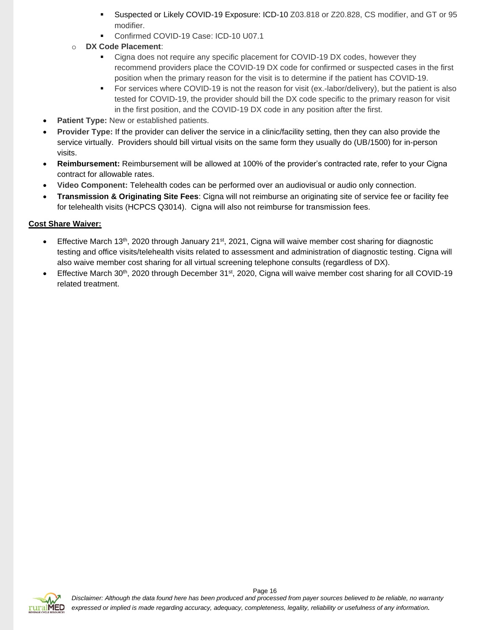- Suspected or Likely COVID-19 Exposure: ICD-10 Z03.818 or Z20.828, CS modifier, and GT or 95 modifier.
- Confirmed COVID-19 Case: ICD-10 U07.1
- o **DX Code Placement**:
	- Cigna does not require any specific placement for COVID-19 DX codes, however they recommend providers place the COVID-19 DX code for confirmed or suspected cases in the first position when the primary reason for the visit is to determine if the patient has COVID-19.
	- For services where COVID-19 is not the reason for visit (ex.-labor/delivery), but the patient is also tested for COVID-19, the provider should bill the DX code specific to the primary reason for visit in the first position, and the COVID-19 DX code in any position after the first.
- **Patient Type:** New or established patients.
- **Provider Type:** If the provider can deliver the service in a clinic/facility setting, then they can also provide the service virtually. Providers should bill virtual visits on the same form they usually do (UB/1500) for in-person visits.
- **Reimbursement:** Reimbursement will be allowed at 100% of the provider's contracted rate, refer to your Cigna contract for allowable rates.
- **Video Component:** Telehealth codes can be performed over an audiovisual or audio only connection.
- **Transmission & Originating Site Fees**: Cigna will not reimburse an originating site of service fee or facility fee for telehealth visits (HCPCS Q3014). Cigna will also not reimburse for transmission fees.

### **Cost Share Waiver:**

- Effective March 13<sup>th</sup>, 2020 through January 21<sup>st</sup>, 2021, Cigna will waive member cost sharing for diagnostic testing and office visits/telehealth visits related to assessment and administration of diagnostic testing. Cigna will also waive member cost sharing for all virtual screening telephone consults (regardless of DX).
- Effective March 30th, 2020 through December 31st, 2020, Cigna will waive member cost sharing for all COVID-19 related treatment.

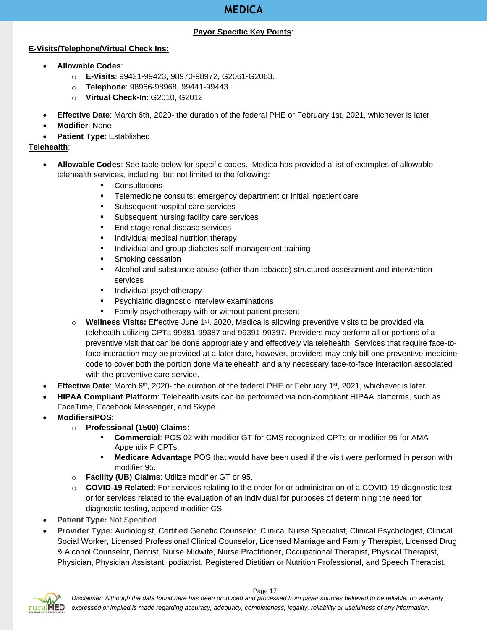# **MEDICA**

### **Payor Specific Key Points**:

### <span id="page-16-0"></span>**E-Visits/Telephone/Virtual Check Ins:**

- **Allowable Codes**:
	- o **E-Visits**: 99421-99423, 98970-98972, G2061-G2063.
	- o **Telephone**: 98966-98968, 99441-99443
	- o **Virtual Check-In**: G2010, G2012
- **Effective Date**: March 6th, 2020- the duration of the federal PHE or February 1st, 2021, whichever is later
- **Modifier**: None
- **Patient Type**: Established

# **Telehealth**:

- **Allowable Codes**: See table below for specific codes. Medica has provided a list of examples of allowable telehealth services, including, but not limited to the following:
	- Consultations
	- **EXE** Telemedicine consults: emergency department or initial inpatient care
	- Subsequent hospital care services
	- Subsequent nursing facility care services
	- End stage renal disease services
	- **•** Individual medical nutrition therapy
	- **EXEDENT** Individual and group diabetes self-management training
	- Smoking cessation
	- **E** Alcohol and substance abuse (other than tobacco) structured assessment and intervention services
	- **·** Individual psychotherapy
	- **•** Psychiatric diagnostic interview examinations
	- Family psychotherapy with or without patient present
	- o **Wellness Visits:** Effective June 1st, 2020, Medica is allowing preventive visits to be provided via telehealth utilizing CPTs 99381-99387 and 99391-99397. Providers may perform all or portions of a preventive visit that can be done appropriately and effectively via telehealth. Services that require face-toface interaction may be provided at a later date, however, providers may only bill one preventive medicine code to cover both the portion done via telehealth and any necessary face-to-face interaction associated with the preventive care service.
- Effective Date: March 6<sup>th</sup>, 2020- the duration of the federal PHE or February 1<sup>st</sup>, 2021, whichever is later
- **HIPAA Compliant Platform**: Telehealth visits can be performed via non-compliant HIPAA platforms, such as FaceTime, Facebook Messenger, and Skype.
- **Modifiers/POS**:
	- o **Professional (1500) Claims**:
		- Commercial: POS 02 with modifier GT for CMS recognized CPTs or modifier 95 for AMA Appendix P CPTs.
		- **EXED Medicare Advantage** POS that would have been used if the visit were performed in person with modifier 95.
	- o **Facility (UB) Claims**: Utilize modifier GT or 95.
	- o **COVID-19 Related**: For services relating to the order for or administration of a COVID-19 diagnostic test or for services related to the evaluation of an individual for purposes of determining the need for diagnostic testing, append modifier CS.
- **Patient Type: Not Specified.**
- **Provider Type:** Audiologist, Certified Genetic Counselor, Clinical Nurse Specialist, Clinical Psychologist, Clinical Social Worker, Licensed Professional Clinical Counselor, Licensed Marriage and Family Therapist, Licensed Drug & Alcohol Counselor, Dentist, Nurse Midwife, Nurse Practitioner, Occupational Therapist, Physical Therapist, Physician, Physician Assistant, podiatrist, Registered Dietitian or Nutrition Professional, and Speech Therapist.



*Disclaimer: Although the data found here has been produced and processed from payer sources believed to be reliable, no warranty expressed or implied is made regarding accuracy, adequacy, completeness, legality, reliability or usefulness of any information.*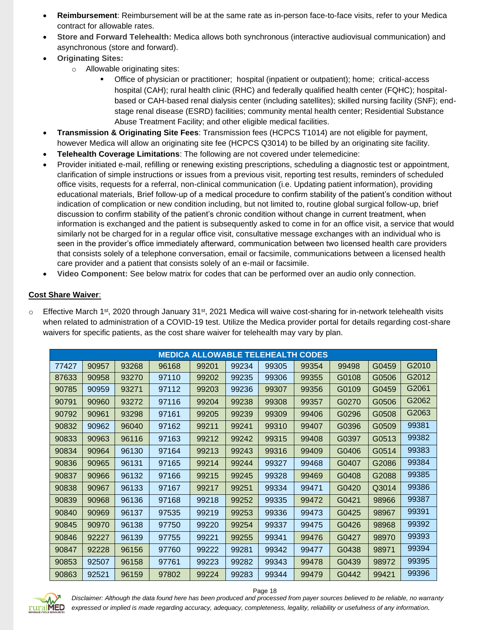- **Reimbursement**: Reimbursement will be at the same rate as in-person face-to-face visits, refer to your Medica contract for allowable rates.
- **Store and Forward Telehealth:** Medica allows both synchronous (interactive audiovisual communication) and asynchronous (store and forward).
- **Originating Sites:**
	- o Allowable originating sites:
		- Office of physician or practitioner; hospital (inpatient or outpatient); home; critical-access hospital (CAH); rural health clinic (RHC) and federally qualified health center (FQHC); hospitalbased or CAH-based renal dialysis center (including satellites); skilled nursing facility (SNF); endstage renal disease (ESRD) facilities; community mental health center; Residential Substance Abuse Treatment Facility; and other eligible medical facilities.
- **Transmission & Originating Site Fees**: Transmission fees (HCPCS T1014) are not eligible for payment, however Medica will allow an originating site fee (HCPCS Q3014) to be billed by an originating site facility.
- **Telehealth Coverage Limitations**: The following are not covered under telemedicine:
- Provider initiated e-mail, refilling or renewing existing prescriptions, scheduling a diagnostic test or appointment, clarification of simple instructions or issues from a previous visit, reporting test results, reminders of scheduled office visits, requests for a referral, non-clinical communication (i.e. Updating patient information), providing educational materials, Brief follow-up of a medical procedure to confirm stability of the patient's condition without indication of complication or new condition including, but not limited to, routine global surgical follow-up, brief discussion to confirm stability of the patient's chronic condition without change in current treatment, when information is exchanged and the patient is subsequently asked to come in for an office visit, a service that would similarly not be charged for in a regular office visit, consultative message exchanges with an individual who is seen in the provider's office immediately afterward, communication between two licensed health care providers that consists solely of a telephone conversation, email or facsimile, communications between a licensed health care provider and a patient that consists solely of an e-mail or facsimile.
- **Video Component:** See below matrix for codes that can be performed over an audio only connection.

# **Cost Share Waiver**:

 $\circ$  Effective March 1<sup>st</sup>, 2020 through January 31<sup>st</sup>, 2021 Medica will waive cost-sharing for in-network telehealth visits when related to administration of a COVID-19 test. Utilize the Medica provider portal for details regarding cost-share waivers for specific patients, as the cost share waiver for telehealth may vary by plan.

| <b>MEDICA ALLOWABLE TELEHEALTH CODES</b> |       |       |       |       |       |       |       |       |       |       |  |
|------------------------------------------|-------|-------|-------|-------|-------|-------|-------|-------|-------|-------|--|
| 77427                                    | 90957 | 93268 | 96168 | 99201 | 99234 | 99305 | 99354 | 99498 | G0459 | G2010 |  |
| 87633                                    | 90958 | 93270 | 97110 | 99202 | 99235 | 99306 | 99355 | G0108 | G0506 | G2012 |  |
| 90785                                    | 90959 | 93271 | 97112 | 99203 | 99236 | 99307 | 99356 | G0109 | G0459 | G2061 |  |
| 90791                                    | 90960 | 93272 | 97116 | 99204 | 99238 | 99308 | 99357 | G0270 | G0506 | G2062 |  |
| 90792                                    | 90961 | 93298 | 97161 | 99205 | 99239 | 99309 | 99406 | G0296 | G0508 | G2063 |  |
| 90832                                    | 90962 | 96040 | 97162 | 99211 | 99241 | 99310 | 99407 | G0396 | G0509 | 99381 |  |
| 90833                                    | 90963 | 96116 | 97163 | 99212 | 99242 | 99315 | 99408 | G0397 | G0513 | 99382 |  |
| 90834                                    | 90964 | 96130 | 97164 | 99213 | 99243 | 99316 | 99409 | G0406 | G0514 | 99383 |  |
| 90836                                    | 90965 | 96131 | 97165 | 99214 | 99244 | 99327 | 99468 | G0407 | G2086 | 99384 |  |
| 90837                                    | 90966 | 96132 | 97166 | 99215 | 99245 | 99328 | 99469 | G0408 | G2088 | 99385 |  |
| 90838                                    | 90967 | 96133 | 97167 | 99217 | 99251 | 99334 | 99471 | G0420 | Q3014 | 99386 |  |
| 90839                                    | 90968 | 96136 | 97168 | 99218 | 99252 | 99335 | 99472 | G0421 | 98966 | 99387 |  |
| 90840                                    | 90969 | 96137 | 97535 | 99219 | 99253 | 99336 | 99473 | G0425 | 98967 | 99391 |  |
| 90845                                    | 90970 | 96138 | 97750 | 99220 | 99254 | 99337 | 99475 | G0426 | 98968 | 99392 |  |
| 90846                                    | 92227 | 96139 | 97755 | 99221 | 99255 | 99341 | 99476 | G0427 | 98970 | 99393 |  |
| 90847                                    | 92228 | 96156 | 97760 | 99222 | 99281 | 99342 | 99477 | G0438 | 98971 | 99394 |  |
| 90853                                    | 92507 | 96158 | 97761 | 99223 | 99282 | 99343 | 99478 | G0439 | 98972 | 99395 |  |
| 90863                                    | 92521 | 96159 | 97802 | 99224 | 99283 | 99344 | 99479 | G0442 | 99421 | 99396 |  |



*Disclaimer: Although the data found here has been produced and processed from payer sources believed to be reliable, no warranty expressed or implied is made regarding accuracy, adequacy, completeness, legality, reliability or usefulness of any information.*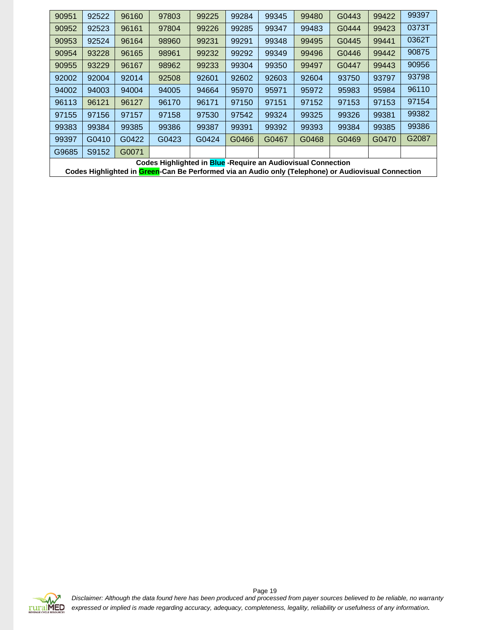| 90951 | 92522 | 96160 | 97803                                                        | 99225 | 99284 | 99345 | 99480 | G0443 | 99422 | 99397 |
|-------|-------|-------|--------------------------------------------------------------|-------|-------|-------|-------|-------|-------|-------|
| 90952 | 92523 | 96161 | 97804                                                        | 99226 | 99285 | 99347 | 99483 | G0444 | 99423 | 0373T |
| 90953 | 92524 | 96164 | 98960                                                        | 99231 | 99291 | 99348 | 99495 | G0445 | 99441 | 0362T |
| 90954 | 93228 | 96165 | 98961                                                        | 99232 | 99292 | 99349 | 99496 | G0446 | 99442 | 90875 |
| 90955 | 93229 | 96167 | 98962                                                        | 99233 | 99304 | 99350 | 99497 | G0447 | 99443 | 90956 |
| 92002 | 92004 | 92014 | 92508                                                        | 92601 | 92602 | 92603 | 92604 | 93750 | 93797 | 93798 |
| 94002 | 94003 | 94004 | 94005                                                        | 94664 | 95970 | 95971 | 95972 | 95983 | 95984 | 96110 |
| 96113 | 96121 | 96127 | 96170                                                        | 96171 | 97150 | 97151 | 97152 | 97153 | 97153 | 97154 |
| 97155 | 97156 | 97157 | 97158                                                        | 97530 | 97542 | 99324 | 99325 | 99326 | 99381 | 99382 |
| 99383 | 99384 | 99385 | 99386                                                        | 99387 | 99391 | 99392 | 99393 | 99384 | 99385 | 99386 |
| 99397 | G0410 | G0422 | G0423                                                        | G0424 | G0466 | G0467 | G0468 | G0469 | G0470 | G2087 |
| G9685 | S9152 | G0071 |                                                              |       |       |       |       |       |       |       |
|       |       |       | Codes Highlighted in Blue -Require an Audiovisual Connection |       |       |       |       |       |       |       |

**Codes Highlighted in Green-Can Be Performed via an Audio only (Telephone) or Audiovisual Connection**

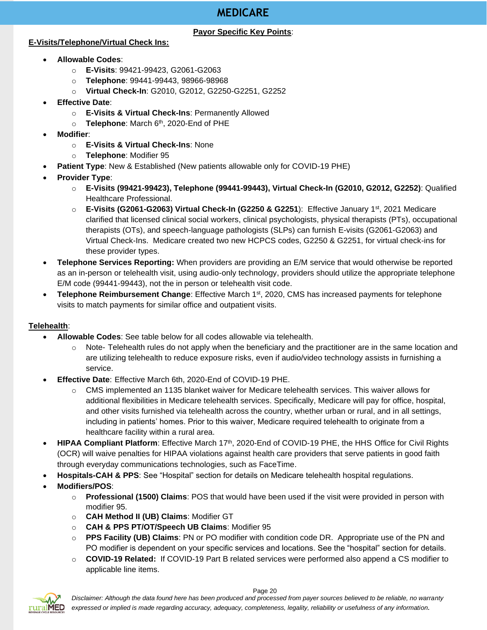# **MEDICARE**

### **Payor Specific Key Points**:

### <span id="page-19-0"></span>**E-Visits/Telephone/Virtual Check Ins:**

- **Allowable Codes**:
	- o **E-Visits**: 99421-99423, G2061-G2063
	- o **Telephone**: 99441-99443, 98966-98968
	- o **Virtual Check-In**: G2010, G2012, G2250-G2251, G2252
- **Effective Date**:
	- o **E-Visits & Virtual Check-Ins**: Permanently Allowed
	- o **Telephone**: March 6th, 2020-End of PHE
- **Modifier**:
	- o **E-Visits & Virtual Check-Ins**: None
	- o **Telephone**: Modifier 95
- **Patient Type**: New & Established (New patients allowable only for COVID-19 PHE)
- **Provider Type**:
	- o **E-Visits (99421-99423), Telephone (99441-99443), Virtual Check-In (G2010, G2012, G2252)**: Qualified Healthcare Professional.
	- o **E-Visits (G2061-G2063) Virtual Check-In (G2250 & G2251**): Effective January 1st, 2021 Medicare clarified that licensed clinical social workers, clinical psychologists, physical therapists (PTs), occupational therapists (OTs), and speech-language pathologists (SLPs) can furnish E-visits (G2061-G2063) and Virtual Check-Ins. Medicare created two new HCPCS codes, G2250 & G2251, for virtual check-ins for these provider types.
- **Telephone Services Reporting:** When providers are providing an E/M service that would otherwise be reported as an in-person or telehealth visit, using audio-only technology, providers should utilize the appropriate telephone E/M code (99441-99443), not the in person or telehealth visit code.
- **Telephone Reimbursement Change**: Effective March 1st, 2020, CMS has increased payments for telephone visits to match payments for similar office and outpatient visits.

# **Telehealth**:

- **Allowable Codes**: See table below for all codes allowable via telehealth.
	- $\circ$  Note- Telehealth rules do not apply when the beneficiary and the practitioner are in the same location and are utilizing telehealth to reduce exposure risks, even if audio/video technology assists in furnishing a service.
- **Effective Date**: Effective March 6th, 2020-End of COVID-19 PHE.
	- o CMS implemented an 1135 blanket waiver for Medicare telehealth services. This waiver allows for additional flexibilities in Medicare telehealth services. Specifically, Medicare will pay for office, hospital, and other visits furnished via telehealth across the country, whether urban or rural, and in all settings, including in patients' homes. Prior to this waiver, Medicare required telehealth to originate from a healthcare facility within a rural area.
- **HIPAA Compliant Platform**: Effective March 17th, 2020-End of COVID-19 PHE, the HHS Office for Civil Rights (OCR) will waive penalties for HIPAA violations against health care providers that serve patients in good faith through everyday communications technologies, such as FaceTime.
- **Hospitals-CAH & PPS**: See "Hospital" section for details on Medicare telehealth hospital regulations.
- **Modifiers/POS**:
	- o **Professional (1500) Claims**: POS that would have been used if the visit were provided in person with modifier 95.
	- o **CAH Method II (UB) Claims**: Modifier GT
	- o **CAH & PPS PT/OT/Speech UB Claims**: Modifier 95
	- o **PPS Facility (UB) Claims**: PN or PO modifier with condition code DR. Appropriate use of the PN and PO modifier is dependent on your specific services and locations. See the "hospital" section for details.
	- o **COVID-19 Related:** If COVID-19 Part B related services were performed also append a CS modifier to applicable line items.

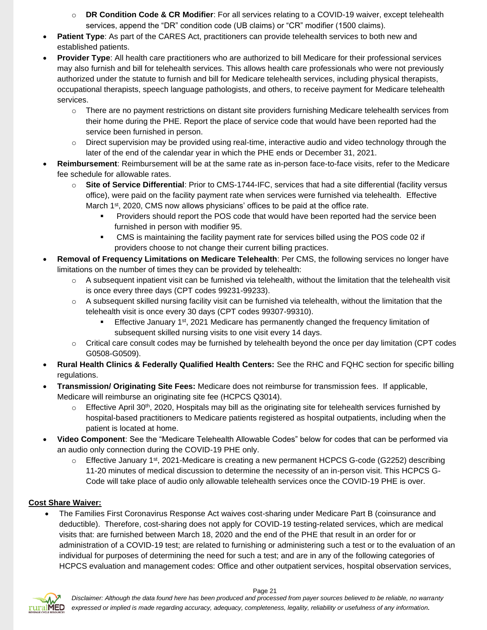- **DR Condition Code & CR Modifier**: For all services relating to a COVID-19 waiver, except telehealth services, append the "DR" condition code (UB claims) or "CR" modifier (1500 claims).
- **Patient Type**: As part of the CARES Act, practitioners can provide telehealth services to both new and established patients.
- **Provider Type**: All health care practitioners who are authorized to bill Medicare for their professional services may also furnish and bill for telehealth services. This allows health care professionals who were not previously authorized under the statute to furnish and bill for Medicare telehealth services, including physical therapists, occupational therapists, speech language pathologists, and others, to receive payment for Medicare telehealth services.
	- $\circ$  There are no payment restrictions on distant site providers furnishing Medicare telehealth services from their home during the PHE. Report the place of service code that would have been reported had the service been furnished in person.
	- $\circ$  Direct supervision may be provided using real-time, interactive audio and video technology through the later of the end of the calendar year in which the PHE ends or December 31, 2021.
- **Reimbursement**: Reimbursement will be at the same rate as in-person face-to-face visits, refer to the Medicare fee schedule for allowable rates.
	- o **Site of Service Differential**: Prior to CMS-1744-IFC, services that had a site differential (facility versus office), were paid on the facility payment rate when services were furnished via telehealth. Effective March 1<sup>st</sup>, 2020, CMS now allows physicians' offices to be paid at the office rate.
		- Providers should report the POS code that would have been reported had the service been furnished in person with modifier 95.
		- CMS is maintaining the facility payment rate for services billed using the POS code 02 if providers choose to not change their current billing practices.
- **Removal of Frequency Limitations on Medicare Telehealth**: Per CMS, the following services no longer have limitations on the number of times they can be provided by telehealth:
	- o A subsequent inpatient visit can be furnished via telehealth, without the limitation that the telehealth visit is once every three days (CPT codes 99231-99233).
	- o A subsequent skilled nursing facility visit can be furnished via telehealth, without the limitation that the telehealth visit is once every 30 days (CPT codes 99307-99310).
		- **Effective January 1st, 2021 Medicare has permanently changed the frequency limitation of** subsequent skilled nursing visits to one visit every 14 days.
	- $\circ$  Critical care consult codes may be furnished by telehealth beyond the once per day limitation (CPT codes G0508-G0509).
- **Rural Health Clinics & Federally Qualified Health Centers:** See the RHC and FQHC section for specific billing regulations.
- **Transmission/ Originating Site Fees:** Medicare does not reimburse for transmission fees. If applicable, Medicare will reimburse an originating site fee (HCPCS Q3014).
	- $\circ$  Effective April 30<sup>th</sup>, 2020, Hospitals may bill as the originating site for telehealth services furnished by hospital-based practitioners to Medicare patients registered as hospital outpatients, including when the patient is located at home.
- **Video Component**: See the "Medicare Telehealth Allowable Codes" below for codes that can be performed via an audio only connection during the COVID-19 PHE only.
	- $\circ$  Effective January 1<sup>st</sup>, 2021-Medicare is creating a new permanent HCPCS G-code (G2252) describing 11-20 minutes of medical discussion to determine the necessity of an in-person visit. This HCPCS G-Code will take place of audio only allowable telehealth services once the COVID-19 PHE is over.

# **Cost Share Waiver:**

• The Families First Coronavirus Response Act waives cost-sharing under Medicare Part B (coinsurance and deductible). Therefore, cost-sharing does not apply for COVID-19 testing-related services, which are medical visits that: are furnished between March 18, 2020 and the end of the PHE that result in an order for or administration of a COVID-19 test; are related to furnishing or administering such a test or to the evaluation of an individual for purposes of determining the need for such a test; and are in any of the following categories of HCPCS evaluation and management codes: Office and other outpatient services, hospital observation services,

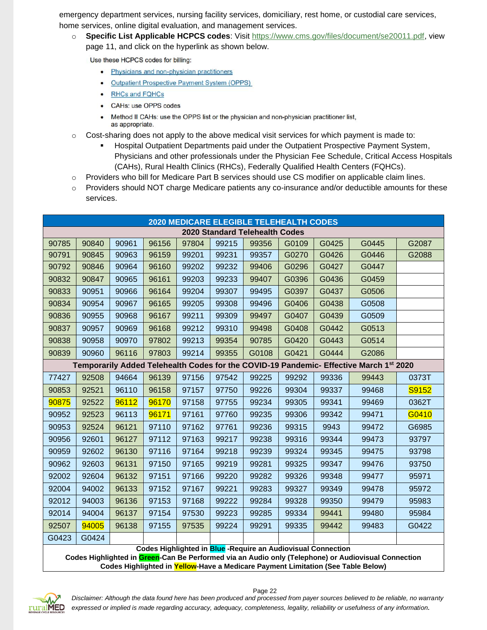emergency department services, nursing facility services, domiciliary, rest home, or custodial care services, home services, online digital evaluation, and management services.

o **Specific List Applicable HCPCS codes**: Visit [https://www.cms.gov/files/document/se20011.pdf,](https://www.cms.gov/files/document/se20011.pdf) view page 11, and click on the hyperlink as shown below.

Use these HCPCS codes for billing:

- Physicians and non-physician practitioners
- **Outpatient Prospective Payment System (OPPS)**  $\bullet$
- **RHCs and FQHCs**  $\bullet$
- **CAHs: use OPPS codes**  $\bullet$
- Method II CAHs: use the OPPS list or the physician and non-physician practitioner list, as appropriate.
- $\circ$  Cost-sharing does not apply to the above medical visit services for which payment is made to:
	- Hospital Outpatient Departments paid under the Outpatient Prospective Payment System, Physicians and other professionals under the Physician Fee Schedule, Critical Access Hospitals (CAHs), Rural Health Clinics (RHCs), Federally Qualified Health Centers (FQHCs).
- $\circ$  Providers who bill for Medicare Part B services should use CS modifier on applicable claim lines.
- $\circ$  Providers should NOT charge Medicare patients any co-insurance and/or deductible amounts for these services.

| <b>2020 MEDICARE ELEGIBLE TELEHEALTH CODES</b> |       |       |       |       |       |       |       |       |                                                                                        |       |
|------------------------------------------------|-------|-------|-------|-------|-------|-------|-------|-------|----------------------------------------------------------------------------------------|-------|
| <b>2020 Standard Telehealth Codes</b>          |       |       |       |       |       |       |       |       |                                                                                        |       |
| 90785                                          | 90840 | 90961 | 96156 | 97804 | 99215 | 99356 | G0109 | G0425 | G0445                                                                                  | G2087 |
| 90791                                          | 90845 | 90963 | 96159 | 99201 | 99231 | 99357 | G0270 | G0426 | G0446                                                                                  | G2088 |
| 90792                                          | 90846 | 90964 | 96160 | 99202 | 99232 | 99406 | G0296 | G0427 | G0447                                                                                  |       |
| 90832                                          | 90847 | 90965 | 96161 | 99203 | 99233 | 99407 | G0396 | G0436 | G0459                                                                                  |       |
| 90833                                          | 90951 | 90966 | 96164 | 99204 | 99307 | 99495 | G0397 | G0437 | G0506                                                                                  |       |
| 90834                                          | 90954 | 90967 | 96165 | 99205 | 99308 | 99496 | G0406 | G0438 | G0508                                                                                  |       |
| 90836                                          | 90955 | 90968 | 96167 | 99211 | 99309 | 99497 | G0407 | G0439 | G0509                                                                                  |       |
| 90837                                          | 90957 | 90969 | 96168 | 99212 | 99310 | 99498 | G0408 | G0442 | G0513                                                                                  |       |
| 90838                                          | 90958 | 90970 | 97802 | 99213 | 99354 | 90785 | G0420 | G0443 | G0514                                                                                  |       |
| 90839                                          | 90960 | 96116 | 97803 | 99214 | 99355 | G0108 | G0421 | G0444 | G2086                                                                                  |       |
|                                                |       |       |       |       |       |       |       |       | Temporarily Added Telehealth Codes for the COVID-19 Pandemic- Effective March 1st 2020 |       |
| 77427                                          | 92508 | 94664 | 96139 | 97156 | 97542 | 99225 | 99292 | 99336 | 99443                                                                                  | 0373T |
| 90853                                          | 92521 | 96110 | 96158 | 97157 | 97750 | 99226 | 99304 | 99337 | 99468                                                                                  | S9152 |
| 90875                                          | 92522 | 96112 | 96170 | 97158 | 97755 | 99234 | 99305 | 99341 | 99469                                                                                  | 0362T |
| 90952                                          | 92523 | 96113 | 96171 | 97161 | 97760 | 99235 | 99306 | 99342 | 99471                                                                                  | G0410 |
| 90953                                          | 92524 | 96121 | 97110 | 97162 | 97761 | 99236 | 99315 | 9943  | 99472                                                                                  | G6985 |
| 90956                                          | 92601 | 96127 | 97112 | 97163 | 99217 | 99238 | 99316 | 99344 | 99473                                                                                  | 93797 |
| 90959                                          | 92602 | 96130 | 97116 | 97164 | 99218 | 99239 | 99324 | 99345 | 99475                                                                                  | 93798 |
| 90962                                          | 92603 | 96131 | 97150 | 97165 | 99219 | 99281 | 99325 | 99347 | 99476                                                                                  | 93750 |
| 92002                                          | 92604 | 96132 | 97151 | 97166 | 99220 | 99282 | 99326 | 99348 | 99477                                                                                  | 95971 |
| 92004                                          | 94002 | 96133 | 97152 | 97167 | 99221 | 99283 | 99327 | 99349 | 99478                                                                                  | 95972 |
| 92012                                          | 94003 | 96136 | 97153 | 97168 | 99222 | 99284 | 99328 | 99350 | 99479                                                                                  | 95983 |
| 92014                                          | 94004 | 96137 | 97154 | 97530 | 99223 | 99285 | 99334 | 99441 | 99480                                                                                  | 95984 |
| 92507                                          | 94005 | 96138 | 97155 | 97535 | 99224 | 99291 | 99335 | 99442 | 99483                                                                                  | G0422 |
| G0423                                          | G0424 |       |       |       |       |       |       |       |                                                                                        |       |

**Codes Highlighted in Blue -Require an Audiovisual Connection**

**Codes Highlighted in Green-Can Be Performed via an Audio only (Telephone) or Audiovisual Connection Codes Highlighted in Yellow-Have a Medicare Payment Limitation (See Table Below)**



# *Disclaimer: Although the data found here has been produced and processed from payer sources believed to be reliable, no warranty expressed or implied is made regarding accuracy, adequacy, completeness, legality, reliability or usefulness of any information.*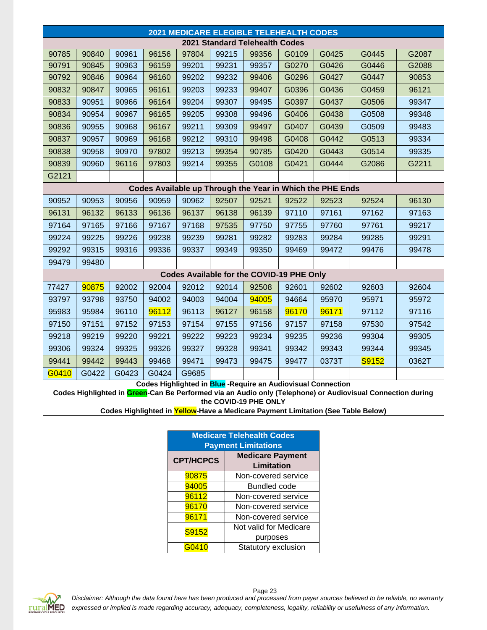| 2021 MEDICARE ELEGIBLE TELEHEALTH CODES |                                                                                                                                     |       |       |       |       |       |                                           |                                                              |                                                                                  |       |  |
|-----------------------------------------|-------------------------------------------------------------------------------------------------------------------------------------|-------|-------|-------|-------|-------|-------------------------------------------|--------------------------------------------------------------|----------------------------------------------------------------------------------|-------|--|
|                                         | 2021 Standard Telehealth Codes                                                                                                      |       |       |       |       |       |                                           |                                                              |                                                                                  |       |  |
| 90785                                   | 90840                                                                                                                               | 90961 | 96156 | 97804 | 99215 | 99356 | G0109                                     | G0425                                                        | G0445                                                                            | G2087 |  |
| 90791                                   | 90845                                                                                                                               | 90963 | 96159 | 99201 | 99231 | 99357 | G0270                                     | G0426                                                        | G0446                                                                            | G2088 |  |
| 90792                                   | 90846                                                                                                                               | 90964 | 96160 | 99202 | 99232 | 99406 | G0296                                     | G0427                                                        | G0447                                                                            | 90853 |  |
| 90832                                   | 90847                                                                                                                               | 90965 | 96161 | 99203 | 99233 | 99407 | G0396                                     | G0436                                                        | G0459                                                                            | 96121 |  |
| 90833                                   | 90951                                                                                                                               | 90966 | 96164 | 99204 | 99307 | 99495 | G0397                                     | G0437                                                        | G0506                                                                            | 99347 |  |
| 90834                                   | 90954                                                                                                                               | 90967 | 96165 | 99205 | 99308 | 99496 | G0406                                     | G0438                                                        | G0508                                                                            | 99348 |  |
| 90836                                   | 90955                                                                                                                               | 90968 | 96167 | 99211 | 99309 | 99497 | G0407                                     | G0439                                                        | G0509                                                                            | 99483 |  |
| 90837                                   | 90957                                                                                                                               | 90969 | 96168 | 99212 | 99310 | 99498 | G0408                                     | G0442                                                        | G0513                                                                            | 99334 |  |
| 90838                                   | 90958                                                                                                                               | 90970 | 97802 | 99213 | 99354 | 90785 | G0420                                     | G0443                                                        | G0514                                                                            | 99335 |  |
| 90839                                   | 90960                                                                                                                               | 96116 | 97803 | 99214 | 99355 | G0108 | G0421                                     | G0444                                                        | G2086                                                                            | G2211 |  |
| G2121                                   |                                                                                                                                     |       |       |       |       |       |                                           |                                                              |                                                                                  |       |  |
|                                         |                                                                                                                                     |       |       |       |       |       |                                           | Codes Available up Through the Year in Which the PHE Ends    |                                                                                  |       |  |
| 90952                                   | 90953                                                                                                                               | 90956 | 90959 | 90962 | 92507 | 92521 | 92522                                     | 92523                                                        | 92524                                                                            | 96130 |  |
| 96131                                   | 96132                                                                                                                               | 96133 | 96136 | 96137 | 96138 | 96139 | 97110                                     | 97161                                                        | 97162                                                                            | 97163 |  |
| 97164                                   | 97165                                                                                                                               | 97166 | 97167 | 97168 | 97535 | 97750 | 97755                                     | 97760                                                        | 97761                                                                            | 99217 |  |
| 99224                                   | 99225                                                                                                                               | 99226 | 99238 | 99239 | 99281 | 99282 | 99283                                     | 99284                                                        | 99285                                                                            | 99291 |  |
| 99292                                   | 99315                                                                                                                               | 99316 | 99336 | 99337 | 99349 | 99350 | 99469                                     | 99472                                                        | 99476                                                                            | 99478 |  |
| 99479                                   | 99480                                                                                                                               |       |       |       |       |       |                                           |                                                              |                                                                                  |       |  |
|                                         |                                                                                                                                     |       |       |       |       |       | Codes Available for the COVID-19 PHE Only |                                                              |                                                                                  |       |  |
| 77427                                   | 90875                                                                                                                               | 92002 | 92004 | 92012 | 92014 | 92508 | 92601                                     | 92602                                                        | 92603                                                                            | 92604 |  |
| 93797                                   | 93798                                                                                                                               | 93750 | 94002 | 94003 | 94004 | 94005 | 94664                                     | 95970                                                        | 95971                                                                            | 95972 |  |
| 95983                                   | 95984                                                                                                                               | 96110 | 96112 | 96113 | 96127 | 96158 | 96170                                     | 96171                                                        | 97112                                                                            | 97116 |  |
| 97150                                   | 97151                                                                                                                               | 97152 | 97153 | 97154 | 97155 | 97156 | 97157                                     | 97158                                                        | 97530                                                                            | 97542 |  |
| 99218                                   | 99219                                                                                                                               | 99220 | 99221 | 99222 | 99223 | 99234 | 99235                                     | 99236                                                        | 99304                                                                            | 99305 |  |
| 99306                                   | 99324                                                                                                                               | 99325 | 99326 | 99327 | 99328 | 99341 | 99342                                     | 99343                                                        | 99344                                                                            | 99345 |  |
| 99441                                   | 99442                                                                                                                               | 99443 | 99468 | 99471 | 99473 | 99475 | 99477                                     | 0373T                                                        | S9152                                                                            | 0362T |  |
| G0410                                   | G0422                                                                                                                               | G0423 | G0424 | G9685 |       |       |                                           |                                                              |                                                                                  |       |  |
|                                         |                                                                                                                                     |       |       |       |       |       |                                           | Codes Highlighted in Blue -Require an Audiovisual Connection |                                                                                  |       |  |
|                                         | Codes Highlighted in Green-Can Be Performed via an Audio only (Telephone) or Audiovisual Connection during<br>the COVID-19 PHE ONLY |       |       |       |       |       |                                           |                                                              |                                                                                  |       |  |
|                                         |                                                                                                                                     |       |       |       |       |       |                                           |                                                              | Codes Highlighted in Yellow-Have a Medicare Payment Limitation (See Table Below) |       |  |

| <b>Medicare Telehealth Codes</b><br><b>Payment Limitations</b> |                                       |  |  |  |  |  |  |  |
|----------------------------------------------------------------|---------------------------------------|--|--|--|--|--|--|--|
| <b>CPT/HCPCS</b>                                               | <b>Medicare Payment</b><br>Limitation |  |  |  |  |  |  |  |
| 90875                                                          | Non-covered service                   |  |  |  |  |  |  |  |
| 94005                                                          | Bundled code                          |  |  |  |  |  |  |  |
| 96112                                                          | Non-covered service                   |  |  |  |  |  |  |  |
| 96170                                                          | Non-covered service                   |  |  |  |  |  |  |  |
| 96171                                                          | Non-covered service                   |  |  |  |  |  |  |  |
| S9152                                                          | Not valid for Medicare                |  |  |  |  |  |  |  |
|                                                                | purposes                              |  |  |  |  |  |  |  |
| G0410                                                          | Statutory exclusion                   |  |  |  |  |  |  |  |

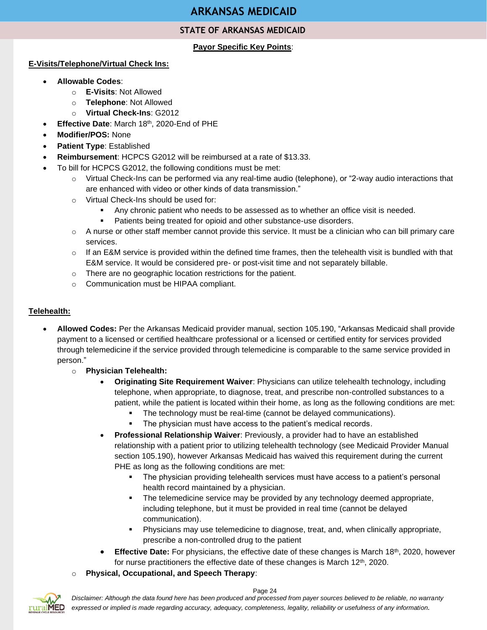# **ARKANSAS MEDICAID**

# **STATE OF ARKANSAS MEDICAID**

### **Payor Specific Key Points**:

#### <span id="page-23-0"></span>**E-Visits/Telephone/Virtual Check Ins:**

- **Allowable Codes**:
	- o **E-Visits**: Not Allowed
	- o **Telephone**: Not Allowed
	- o **Virtual Check-Ins**: G2012
- **Effective Date: March 18th, 2020-End of PHE**
- **Modifier/POS:** None
- **Patient Type**: Established
- **Reimbursement**: HCPCS G2012 will be reimbursed at a rate of \$13.33.
- To bill for HCPCS G2012, the following conditions must be met:
	- o Virtual Check-Ins can be performed via any real-time audio (telephone), or "2-way audio interactions that are enhanced with video or other kinds of data transmission."
	- o Virtual Check-Ins should be used for:
		- Any chronic patient who needs to be assessed as to whether an office visit is needed.
		- Patients being treated for opioid and other substance-use disorders.
	- $\circ$  A nurse or other staff member cannot provide this service. It must be a clinician who can bill primary care services.
	- $\circ$  If an E&M service is provided within the defined time frames, then the telehealth visit is bundled with that E&M service. It would be considered pre- or post-visit time and not separately billable.
	- o There are no geographic location restrictions for the patient.
	- o Communication must be HIPAA compliant.

### **Telehealth:**

- **Allowed Codes:** Per the Arkansas Medicaid provider manual, section 105.190, "Arkansas Medicaid shall provide payment to a licensed or certified healthcare professional or a licensed or certified entity for services provided through telemedicine if the service provided through telemedicine is comparable to the same service provided in person."
	- o **Physician Telehealth:**
		- **Originating Site Requirement Waiver**: Physicians can utilize telehealth technology, including telephone, when appropriate, to diagnose, treat, and prescribe non-controlled substances to a patient, while the patient is located within their home, as long as the following conditions are met:
			- The technology must be real-time (cannot be delayed communications).
			- **•** The physician must have access to the patient's medical records.
		- **Professional Relationship Waiver**: Previously, a provider had to have an established relationship with a patient prior to utilizing telehealth technology (see Medicaid Provider Manual section 105.190), however Arkansas Medicaid has waived this requirement during the current PHE as long as the following conditions are met:
			- The physician providing telehealth services must have access to a patient's personal health record maintained by a physician.
			- The telemedicine service may be provided by any technology deemed appropriate, including telephone, but it must be provided in real time (cannot be delayed communication).
			- Physicians may use telemedicine to diagnose, treat, and, when clinically appropriate, prescribe a non-controlled drug to the patient
		- **Effective Date:** For physicians, the effective date of these changes is March 18<sup>th</sup>, 2020, however for nurse practitioners the effective date of these changes is March  $12<sup>th</sup>$ , 2020.
	- o **Physical, Occupational, and Speech Therapy**:

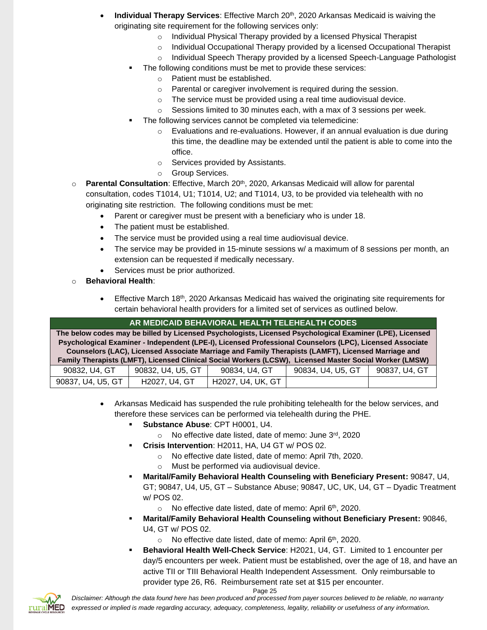- **Individual Therapy Services**: Effective March 20<sup>th</sup>, 2020 Arkansas Medicaid is waiving the originating site requirement for the following services only:
	- o Individual Physical Therapy provided by a licensed Physical Therapist
	- o Individual Occupational Therapy provided by a licensed Occupational Therapist
		- o Individual Speech Therapy provided by a licensed Speech-Language Pathologist
	- The following conditions must be met to provide these services:
		- o Patient must be established.
		- o Parental or caregiver involvement is required during the session.
		- o The service must be provided using a real time audiovisual device.
		- o Sessions limited to 30 minutes each, with a max of 3 sessions per week.
	- The following services cannot be completed via telemedicine:
		- o Evaluations and re-evaluations. However, if an annual evaluation is due during this time, the deadline may be extended until the patient is able to come into the office.
		- o Services provided by Assistants.
		- o Group Services.
- o **Parental Consultation**: Effective, March 20th, 2020, Arkansas Medicaid will allow for parental consultation, codes T1014, U1; T1014, U2; and T1014, U3, to be provided via telehealth with no originating site restriction. The following conditions must be met:
	- Parent or caregiver must be present with a beneficiary who is under 18.
	- The patient must be established.
	- The service must be provided using a real time audiovisual device.
	- The service may be provided in 15-minute sessions w/ a maximum of 8 sessions per month, an extension can be requested if medically necessary.
	- Services must be prior authorized.
- o **Behavioral Health**:
	- $\bullet$  Effective March 18<sup>th</sup>, 2020 Arkansas Medicaid has waived the originating site requirements for certain behavioral health providers for a limited set of services as outlined below.

# **AR MEDICAID BEHAVIORAL HEALTH TELEHEALTH CODES**

**The below codes may be billed by Licensed Psychologists, Licensed Psychological Examiner (LPE), Licensed Psychological Examiner - Independent (LPE-I), Licensed Professional Counselors (LPC), Licensed Associate Counselors (LAC), Licensed Associate Marriage and Family Therapists (LAMFT), Licensed Marriage and Family Therapists (LMFT), Licensed Clinical Social Workers (LCSW), Licensed Master Social Worker (LMSW)**

| 90832, U4, GT     | 90832, U4, U5, GT | 90834, U4, GT     | 90834, U4, U5, GT | 90837, U4, GT |
|-------------------|-------------------|-------------------|-------------------|---------------|
| 90837, U4, U5, GT | H2027, U4, GT     | H2027. U4. UK. GT |                   |               |

- Arkansas Medicaid has suspended the rule prohibiting telehealth for the below services, and therefore these services can be performed via telehealth during the PHE.
	- **Substance Abuse**: CPT H0001, U4.
		- o No effective date listed, date of memo: June 3rd, 2020
	- Crisis Intervention: H2011, HA, U4 GT w/ POS 02.
		- o No effective date listed, date of memo: April 7th, 2020.
		- o Must be performed via audiovisual device.
	- **Marital/Family Behavioral Health Counseling with Beneficiary Present:** 90847, U4, GT; 90847, U4, U5, GT – Substance Abuse; 90847, UC, UK, U4, GT – Dyadic Treatment w/ POS 02.
		- $\circ$  No effective date listed, date of memo: April 6<sup>th</sup>, 2020.
	- **Marital/Family Behavioral Health Counseling without Beneficiary Present:** 90846, U4, GT w/ POS 02.
		- $\circ$  No effective date listed, date of memo: April 6<sup>th</sup>, 2020.
	- **Behavioral Health Well-Check Service**: H2021, U4, GT. Limited to 1 encounter per day/5 encounters per week. Patient must be established, over the age of 18, and have an active TII or TIII Behavioral Health Independent Assessment. Only reimbursable to provider type 26, R6. Reimbursement rate set at \$15 per encounter.

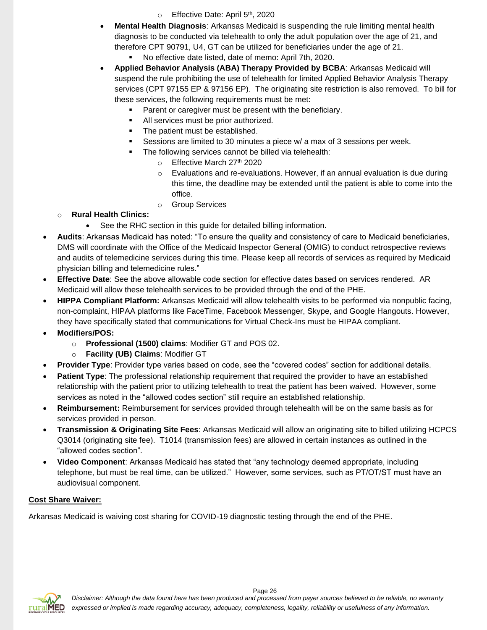- $\circ$  Effective Date: April 5<sup>th</sup>, 2020
- **Mental Health Diagnosis**: Arkansas Medicaid is suspending the rule limiting mental health diagnosis to be conducted via telehealth to only the adult population over the age of 21, and therefore CPT 90791, U4, GT can be utilized for beneficiaries under the age of 21.
	- No effective date listed, date of memo: April 7th, 2020.
- **Applied Behavior Analysis (ABA) Therapy Provided by BCBA**: Arkansas Medicaid will suspend the rule prohibiting the use of telehealth for limited Applied Behavior Analysis Therapy services (CPT 97155 EP & 97156 EP). The originating site restriction is also removed. To bill for these services, the following requirements must be met:
	- Parent or caregiver must be present with the beneficiary.
	- All services must be prior authorized.
	- The patient must be established.
	- Sessions are limited to 30 minutes a piece w/ a max of 3 sessions per week.
	- The following services cannot be billed via telehealth:
		- o Effective March 27th 2020
		- $\circ$  Evaluations and re-evaluations. However, if an annual evaluation is due during this time, the deadline may be extended until the patient is able to come into the office.
		- o Group Services

# o **Rural Health Clinics:**

- See the RHC section in this guide for detailed billing information.
- **Audits**: Arkansas Medicaid has noted: "To ensure the quality and consistency of care to Medicaid beneficiaries, DMS will coordinate with the Office of the Medicaid Inspector General (OMIG) to conduct retrospective reviews and audits of telemedicine services during this time. Please keep all records of services as required by Medicaid physician billing and telemedicine rules."
- **Effective Date**: See the above allowable code section for effective dates based on services rendered. AR Medicaid will allow these telehealth services to be provided through the end of the PHE.
- **HIPPA Compliant Platform:** Arkansas Medicaid will allow telehealth visits to be performed via nonpublic facing, non-complaint, HIPAA platforms like FaceTime, Facebook Messenger, Skype, and Google Hangouts. However, they have specifically stated that communications for Virtual Check-Ins must be HIPAA compliant.
- **Modifiers/POS:** 
	- o **Professional (1500) claims**: Modifier GT and POS 02.
	- o **Facility (UB) Claims**: Modifier GT
- **Provider Type**: Provider type varies based on code, see the "covered codes" section for additional details.
- **Patient Type**: The professional relationship requirement that required the provider to have an established relationship with the patient prior to utilizing telehealth to treat the patient has been waived. However, some services as noted in the "allowed codes section" still require an established relationship.
- **Reimbursement:** Reimbursement for services provided through telehealth will be on the same basis as for services provided in person.
- **Transmission & Originating Site Fees**: Arkansas Medicaid will allow an originating site to billed utilizing HCPCS Q3014 (originating site fee). T1014 (transmission fees) are allowed in certain instances as outlined in the "allowed codes section".
- **Video Component**: Arkansas Medicaid has stated that "any technology deemed appropriate, including telephone, but must be real time, can be utilized." However, some services, such as PT/OT/ST must have an audiovisual component.

# **Cost Share Waiver:**

Arkansas Medicaid is waiving cost sharing for COVID-19 diagnostic testing through the end of the PHE.

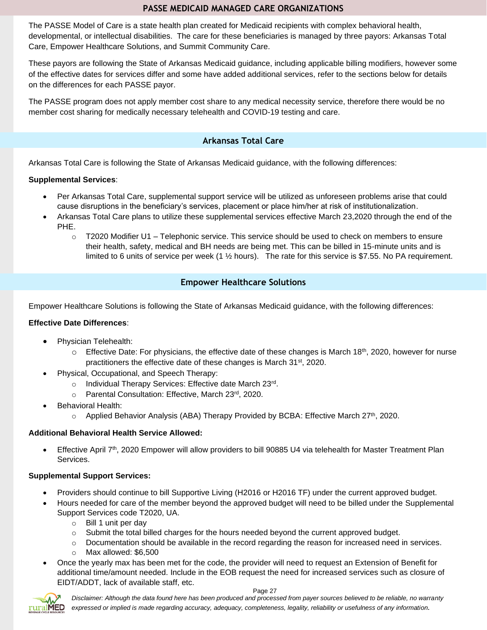# **PASSE MEDICAID MANAGED CARE ORGANIZATIONS**

The PASSE Model of Care is a state health plan created for Medicaid recipients with complex behavioral health, developmental, or intellectual disabilities. The care for these beneficiaries is managed by three payors: Arkansas Total Care, Empower Healthcare Solutions, and Summit Community Care.

These payors are following the State of Arkansas Medicaid guidance, including applicable billing modifiers, however some of the effective dates for services differ and some have added additional services, refer to the sections below for details on the differences for each PASSE payor.

The PASSE program does not apply member cost share to any medical necessity service, therefore there would be no member cost sharing for medically necessary telehealth and COVID-19 testing and care.

# **Arkansas Total Care**

Arkansas Total Care is following the State of Arkansas Medicaid guidance, with the following differences:

### **Supplemental Services**:

- Per Arkansas Total Care, supplemental support service will be utilized as unforeseen problems arise that could cause disruptions in the beneficiary's services, placement or place him/her at risk of institutionalization.
- Arkansas Total Care plans to utilize these supplemental services effective March 23,2020 through the end of the PHE.
	- $\circ$  T2020 Modifier U1 Telephonic service. This service should be used to check on members to ensure their health, safety, medical and BH needs are being met. This can be billed in 15-minute units and is limited to 6 units of service per week (1 ½ hours). The rate for this service is \$7.55. No PA requirement.

# **Empower Healthcare Solutions**

Empower Healthcare Solutions is following the State of Arkansas Medicaid guidance, with the following differences:

#### **Effective Date Differences**:

- Physician Telehealth:
	- $\circ$  Effective Date: For physicians, the effective date of these changes is March 18<sup>th</sup>, 2020, however for nurse practitioners the effective date of these changes is March 31st, 2020.
- Physical, Occupational, and Speech Therapy:
	- o Individual Therapy Services: Effective date March 23rd.
	- o Parental Consultation: Effective, March 23rd, 2020.
- Behavioral Health:
	- $\circ$  Applied Behavior Analysis (ABA) Therapy Provided by BCBA: Effective March 27<sup>th</sup>, 2020.

#### **Additional Behavioral Health Service Allowed:**

Effective April 7<sup>th</sup>, 2020 Empower will allow providers to bill 90885 U4 via telehealth for Master Treatment Plan Services.

#### **Supplemental Support Services:**

- Providers should continue to bill Supportive Living (H2016 or H2016 TF) under the current approved budget.
- Hours needed for care of the member beyond the approved budget will need to be billed under the Supplemental Support Services code T2020, UA.
	- $\circ$  Bill 1 unit per day
	- $\circ$  Submit the total billed charges for the hours needed beyond the current approved budget.
	- o Documentation should be available in the record regarding the reason for increased need in services. o Max allowed: \$6,500
- Once the yearly max has been met for the code, the provider will need to request an Extension of Benefit for additional time/amount needed. Include in the EOB request the need for increased services such as closure of EIDT/ADDT, lack of available staff, etc.

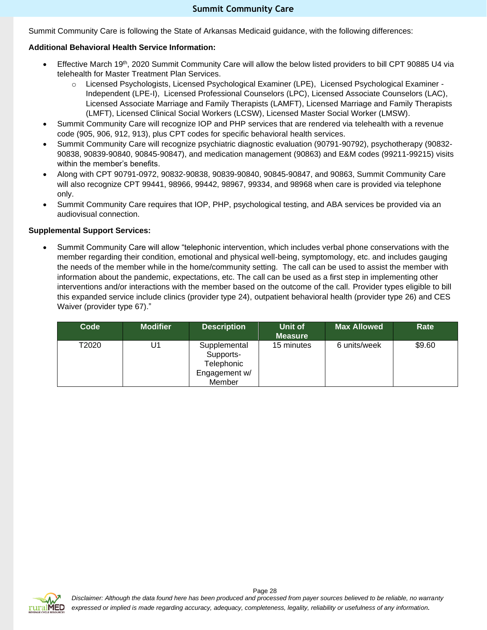Summit Community Care is following the State of Arkansas Medicaid guidance, with the following differences:

### **Additional Behavioral Health Service Information:**

- Effective March 19th, 2020 Summit Community Care will allow the below listed providers to bill CPT 90885 U4 via telehealth for Master Treatment Plan Services.
	- o Licensed Psychologists, Licensed Psychological Examiner (LPE), Licensed Psychological Examiner Independent (LPE-I), Licensed Professional Counselors (LPC), Licensed Associate Counselors (LAC), Licensed Associate Marriage and Family Therapists (LAMFT), Licensed Marriage and Family Therapists (LMFT), Licensed Clinical Social Workers (LCSW), Licensed Master Social Worker (LMSW).
- Summit Community Care will recognize IOP and PHP services that are rendered via telehealth with a revenue code (905, 906, 912, 913), plus CPT codes for specific behavioral health services.
- Summit Community Care will recognize psychiatric diagnostic evaluation (90791-90792), psychotherapy (90832- 90838, 90839-90840, 90845-90847), and medication management (90863) and E&M codes (99211-99215) visits within the member's benefits.
- Along with CPT 90791-0972, 90832-90838, 90839-90840, 90845-90847, and 90863, Summit Community Care will also recognize CPT 99441, 98966, 99442, 98967, 99334, and 98968 when care is provided via telephone only.
- Summit Community Care requires that IOP, PHP, psychological testing, and ABA services be provided via an audiovisual connection.

#### **Supplemental Support Services:**

• Summit Community Care will allow "telephonic intervention, which includes verbal phone conservations with the member regarding their condition, emotional and physical well-being, symptomology, etc. and includes gauging the needs of the member while in the home/community setting. The call can be used to assist the member with information about the pandemic, expectations, etc. The call can be used as a first step in implementing other interventions and/or interactions with the member based on the outcome of the call. Provider types eligible to bill this expanded service include clinics (provider type 24), outpatient behavioral health (provider type 26) and CES Waiver (provider type 67)."

| Code  | <b>Modifier</b> | <b>Description</b>                                                 | Unit of<br><b>Measure</b> | <b>Max Allowed</b> | Rate   |
|-------|-----------------|--------------------------------------------------------------------|---------------------------|--------------------|--------|
| T2020 | U1              | Supplemental<br>Supports-<br>Telephonic<br>Engagement w/<br>Member | 15 minutes                | 6 units/week       | \$9.60 |

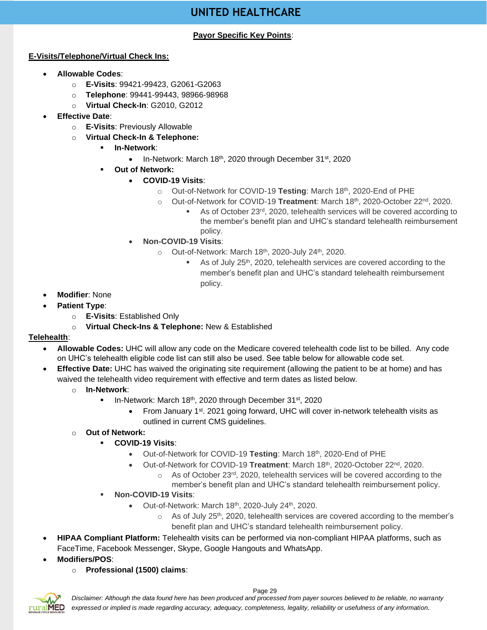# **UNITED HEALTHCARE**

### **Payor Specific Key Points**:

### <span id="page-28-0"></span>**E-Visits/Telephone/Virtual Check Ins:**

- **Allowable Codes**:
	- o **E-Visits**: 99421-99423, G2061-G2063
	- o **Telephone**: 99441-99443, 98966-98968
	- o **Virtual Check-In**: G2010, G2012
- **Effective Date**:
	- o **E-Visits**: Previously Allowable
	- o **Virtual Check-In & Telephone:**
		- **In-Network**:
			- In-Network: March 18<sup>th</sup>, 2020 through December 31<sup>st</sup>, 2020
		- **Out of Network:** 
			- **COVID-19 Visits**:
				- o Out-of-Network for COVID-19 **Testing**: March 18th, 2020-End of PHE
				- o Out-of-Network for COVID-19 **Treatment**: March 18th, 2020-October 22nd, 2020.
					- As of October 23<sup>rd</sup>, 2020, telehealth services will be covered according to the member's benefit plan and UHC's standard telehealth reimbursement policy.
			- **Non-COVID-19 Visits**:
				- $\circ$  Out-of-Network: March 18<sup>th</sup>, 2020-July 24<sup>th</sup>, 2020.
					- As of July 25<sup>th</sup>, 2020, telehealth services are covered according to the member's benefit plan and UHC's standard telehealth reimbursement policy.

- **Modifier**: None
- **Patient Type**:
	- o **E-Visits**: Established Only
	- o **Virtual Check-Ins & Telephone:** New & Established

#### **Telehealth**:

- **Allowable Codes:** UHC will allow any code on the Medicare covered telehealth code list to be billed. Any code on UHC's telehealth eligible code list can still also be used. See table below for allowable code set.
- **Effective Date:** UHC has waived the originating site requirement (allowing the patient to be at home) and has waived the telehealth video requirement with effective and term dates as listed below.
	- o **In-Network**:
		- **■** In-Network: March 18<sup>th</sup>, 2020 through December 31<sup>st</sup>, 2020
			- From January 1<sup>st</sup>. 2021 going forward, UHC will cover in-network telehealth visits as outlined in current CMS guidelines.
	- o **Out of Network:** 
		- **COVID-19 Visits**:
			- Out-of-Network for COVID-19 **Testing**: March 18th, 2020-End of PHE
			- Out-of-Network for COVID-19 **Treatment**: March 18th, 2020-October 22nd, 2020.
				- $\circ$  As of October 23<sup>rd</sup>, 2020, telehealth services will be covered according to the member's benefit plan and UHC's standard telehealth reimbursement policy.
		- **Non-COVID-19 Visits**:
			- Out-of-Network: March  $18<sup>th</sup>$ , 2020-July 24 $<sup>th</sup>$ , 2020.</sup>
				- $\circ$  As of July 25<sup>th</sup>, 2020, telehealth services are covered according to the member's benefit plan and UHC's standard telehealth reimbursement policy.
- **HIPAA Compliant Platform:** Telehealth visits can be performed via non-compliant HIPAA platforms, such as FaceTime, Facebook Messenger, Skype, Google Hangouts and WhatsApp.
- **Modifiers/POS**:
	- o **Professional (1500) claims**:



*Disclaimer: Although the data found here has been produced and processed from payer sources believed to be reliable, no warranty expressed or implied is made regarding accuracy, adequacy, completeness, legality, reliability or usefulness of any information.*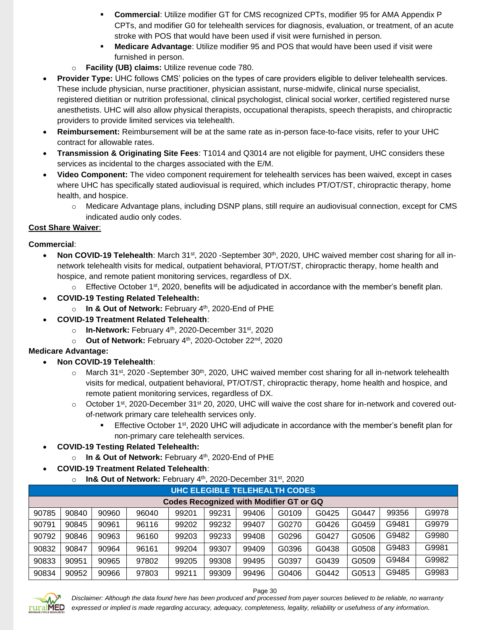- **Commercial**: Utilize modifier GT for CMS recognized CPTs, modifier 95 for AMA Appendix P CPTs, and modifier G0 for telehealth services for diagnosis, evaluation, or treatment, of an acute stroke with POS that would have been used if visit were furnished in person.
- **Medicare Advantage: Utilize modifier 95 and POS that would have been used if visit were** furnished in person.
- o **Facility (UB) claims:** Utilize revenue code 780.
- **Provider Type:** UHC follows CMS' policies on the types of care providers eligible to deliver telehealth services. These include physician, nurse practitioner, physician assistant, nurse-midwife, clinical nurse specialist, registered dietitian or nutrition professional, clinical psychologist, clinical social worker, certified registered nurse anesthetists. UHC will also allow physical therapists, occupational therapists, speech therapists, and chiropractic providers to provide limited services via telehealth.
- **Reimbursement:** Reimbursement will be at the same rate as in-person face-to-face visits, refer to your UHC contract for allowable rates.
- **Transmission & Originating Site Fees**: T1014 and Q3014 are not eligible for payment, UHC considers these services as incidental to the charges associated with the E/M.
- **Video Component:** The video component requirement for telehealth services has been waived, except in cases where UHC has specifically stated audiovisual is required, which includes PT/OT/ST, chiropractic therapy, home health, and hospice.
	- o Medicare Advantage plans, including DSNP plans, still require an audiovisual connection, except for CMS indicated audio only codes.

# **Cost Share Waiver**:

# **Commercial**:

- **Non COVID-19 Telehealth**: March 31<sup>st</sup>, 2020 -September 30<sup>th</sup>, 2020, UHC waived member cost sharing for all innetwork telehealth visits for medical, outpatient behavioral, PT/OT/ST, chiropractic therapy, home health and hospice, and remote patient monitoring services, regardless of DX.
	- $\circ$  Effective October 1<sup>st</sup>, 2020, benefits will be adjudicated in accordance with the member's benefit plan.
- **COVID-19 Testing Related Telehealth:** 
	- o **In & Out of Network:** February 4th, 2020-End of PHE
- **COVID-19 Treatment Related Telehealth**:
	- o **In-Network:** February 4th, 2020-December 31st, 2020
	- o **Out of Network:** February 4th, 2020-October 22nd, 2020

# **Medicare Advantage:**

- **Non COVID-19 Telehealth**:
	- $\circ$  March 31<sup>st</sup>, 2020 -September 30<sup>th</sup>, 2020, UHC waived member cost sharing for all in-network telehealth visits for medical, outpatient behavioral, PT/OT/ST, chiropractic therapy, home health and hospice, and remote patient monitoring services, regardless of DX.
	- $\circ$  October 1<sup>st</sup>, 2020-December 31<sup>st</sup> 20, 2020, UHC will waive the cost share for in-network and covered outof-network primary care telehealth services only.
		- **Effective October 1st, 2020 UHC will adjudicate in accordance with the member's benefit plan for** non-primary care telehealth services.
- **COVID-19 Testing Related Telehealth:** 
	- o **In & Out of Network:** February 4th, 2020-End of PHE
- **COVID-19 Treatment Related Telehealth**:
	- o **In& Out of Network:** February 4th, 2020-December 31st, 2020

| UHC ELEGIBLE TELEHEALTH CODES                  |       |       |       |       |       |       |       |       |       |       |       |
|------------------------------------------------|-------|-------|-------|-------|-------|-------|-------|-------|-------|-------|-------|
| <b>Codes Recognized with Modifier GT or GQ</b> |       |       |       |       |       |       |       |       |       |       |       |
| 90785                                          | 90840 | 90960 | 96040 | 99201 | 99231 | 99406 | G0109 | G0425 | G0447 | 99356 | G9978 |
| 90791                                          | 90845 | 90961 | 96116 | 99202 | 99232 | 99407 | G0270 | G0426 | G0459 | G9481 | G9979 |
| 90792                                          | 90846 | 90963 | 96160 | 99203 | 99233 | 99408 | G0296 | G0427 | G0506 | G9482 | G9980 |
| 90832                                          | 90847 | 90964 | 96161 | 99204 | 99307 | 99409 | G0396 | G0438 | G0508 | G9483 | G9981 |
| 90833                                          | 90951 | 90965 | 97802 | 99205 | 99308 | 99495 | G0397 | G0439 | G0509 | G9484 | G9982 |
| 90834                                          | 90952 | 90966 | 97803 | 99211 | 99309 | 99496 | G0406 | G0442 | G0513 | G9485 | G9983 |



*Disclaimer: Although the data found here has been produced and processed from payer sources believed to be reliable, no warranty expressed or implied is made regarding accuracy, adequacy, completeness, legality, reliability or usefulness of any information.*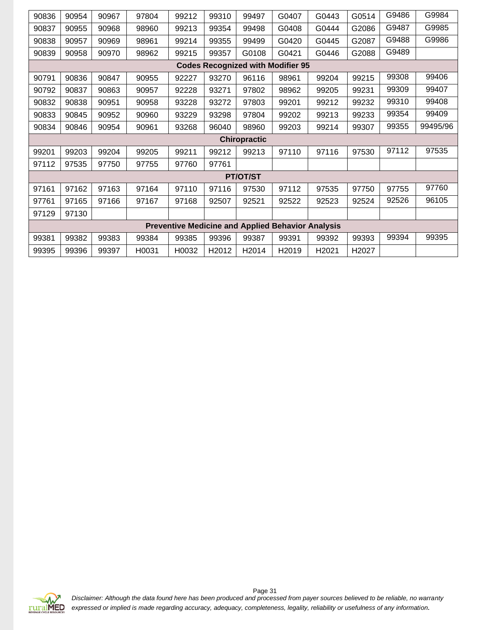| 90836                                                    | 90954 | 90967 | 97804 | 99212 | 99310 | 99497    | G0407                                    | G0443 | G0514 | G9486 | G9984    |
|----------------------------------------------------------|-------|-------|-------|-------|-------|----------|------------------------------------------|-------|-------|-------|----------|
| 90837                                                    | 90955 | 90968 | 98960 | 99213 | 99354 | 99498    | G0408                                    | G0444 | G2086 | G9487 | G9985    |
| 90838                                                    | 90957 | 90969 | 98961 | 99214 | 99355 | 99499    | G0420                                    | G0445 | G2087 | G9488 | G9986    |
| 90839                                                    | 90958 | 90970 | 98962 | 99215 | 99357 | G0108    | G0421                                    | G0446 | G2088 | G9489 |          |
|                                                          |       |       |       |       |       |          | <b>Codes Recognized with Modifier 95</b> |       |       |       |          |
| 90791                                                    | 90836 | 90847 | 90955 | 92227 | 93270 | 96116    | 98961                                    | 99204 | 99215 | 99308 | 99406    |
| 90792                                                    | 90837 | 90863 | 90957 | 92228 | 93271 | 97802    | 98962                                    | 99205 | 99231 | 99309 | 99407    |
| 90832                                                    | 90838 | 90951 | 90958 | 93228 | 93272 | 97803    | 99201                                    | 99212 | 99232 | 99310 | 99408    |
| 90833                                                    | 90845 | 90952 | 90960 | 93229 | 93298 | 97804    | 99202                                    | 99213 | 99233 | 99354 | 99409    |
| 90834                                                    | 90846 | 90954 | 90961 | 93268 | 96040 | 98960    | 99203                                    | 99214 | 99307 | 99355 | 99495/96 |
| <b>Chiropractic</b>                                      |       |       |       |       |       |          |                                          |       |       |       |          |
| 99201                                                    | 99203 | 99204 | 99205 | 99211 | 99212 | 99213    | 97110                                    | 97116 | 97530 | 97112 | 97535    |
| 97112                                                    | 97535 | 97750 | 97755 | 97760 | 97761 |          |                                          |       |       |       |          |
|                                                          |       |       |       |       |       | PT/OT/ST |                                          |       |       |       |          |
| 97161                                                    | 97162 | 97163 | 97164 | 97110 | 97116 | 97530    | 97112                                    | 97535 | 97750 | 97755 | 97760    |
| 97761                                                    | 97165 | 97166 | 97167 | 97168 | 92507 | 92521    | 92522                                    | 92523 | 92524 | 92526 | 96105    |
| 97129                                                    | 97130 |       |       |       |       |          |                                          |       |       |       |          |
| <b>Preventive Medicine and Applied Behavior Analysis</b> |       |       |       |       |       |          |                                          |       |       |       |          |
| 99381                                                    | 99382 | 99383 | 99384 | 99385 | 99396 | 99387    | 99391                                    | 99392 | 99393 | 99394 | 99395    |
| 99395                                                    | 99396 | 99397 | H0031 | H0032 | H2012 | H2014    | H2019                                    | H2021 | H2027 |       |          |

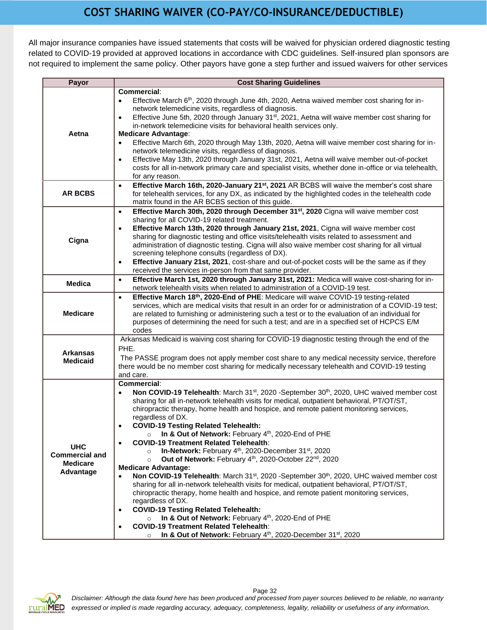# **COST SHARING WAIVER (CO-PAY/CO-INSURANCE/DEDUCTIBLE)**

<span id="page-31-0"></span>All major insurance companies have issued statements that costs will be waived for physician ordered diagnostic testing related to COVID-19 provided at approved locations in accordance with CDC guidelines. Self-insured plan sponsors are not required to implement the same policy. Other payors have gone a step further and issued waivers for other services

| Payor                               | <b>Cost Sharing Guidelines</b>                                                                                                                                                                                          |
|-------------------------------------|-------------------------------------------------------------------------------------------------------------------------------------------------------------------------------------------------------------------------|
|                                     | Commercial:                                                                                                                                                                                                             |
|                                     | Effective March 6 <sup>th</sup> , 2020 through June 4th, 2020, Aetna waived member cost sharing for in-<br>$\bullet$                                                                                                    |
|                                     | network telemedicine visits, regardless of diagnosis.                                                                                                                                                                   |
|                                     | Effective June 5th, 2020 through January 31 <sup>st</sup> , 2021, Aetna will waive member cost sharing for<br>$\bullet$                                                                                                 |
|                                     | in-network telemedicine visits for behavioral health services only.                                                                                                                                                     |
| Aetna                               | <b>Medicare Advantage:</b>                                                                                                                                                                                              |
|                                     | Effective March 6th, 2020 through May 13th, 2020, Aetna will waive member cost sharing for in-<br>$\bullet$                                                                                                             |
|                                     | network telemedicine visits, regardless of diagnosis.                                                                                                                                                                   |
|                                     | Effective May 13th, 2020 through January 31st, 2021, Aetna will waive member out-of-pocket<br>$\bullet$                                                                                                                 |
|                                     | costs for all in-network primary care and specialist visits, whether done in-office or via telehealth,                                                                                                                  |
|                                     | for any reason.                                                                                                                                                                                                         |
| <b>AR BCBS</b>                      | Effective March 16th, 2020-January 21 <sup>st</sup> , 2021 AR BCBS will waive the member's cost share<br>$\bullet$<br>for telehealth services, for any DX, as indicated by the highlighted codes in the telehealth code |
|                                     | matrix found in the AR BCBS section of this guide.                                                                                                                                                                      |
|                                     | Effective March 30th, 2020 through December 31 <sup>st</sup> , 2020 Cigna will waive member cost                                                                                                                        |
|                                     | $\bullet$<br>sharing for all COVID-19 related treatment.                                                                                                                                                                |
|                                     | Effective March 13th, 2020 through January 21st, 2021, Cigna will waive member cost<br>$\bullet$                                                                                                                        |
|                                     | sharing for diagnostic testing and office visits/telehealth visits related to assessment and                                                                                                                            |
| Cigna                               | administration of diagnostic testing. Cigna will also waive member cost sharing for all virtual                                                                                                                         |
|                                     | screening telephone consults (regardless of DX).                                                                                                                                                                        |
|                                     | Effective January 21st, 2021, cost-share and out-of-pocket costs will be the same as if they<br>$\bullet$                                                                                                               |
|                                     | received the services in-person from that same provider.                                                                                                                                                                |
|                                     | Effective March 1st, 2020 through January 31st, 2021: Medica will waive cost-sharing for in-<br>$\bullet$                                                                                                               |
| <b>Medica</b>                       | network telehealth visits when related to administration of a COVID-19 test.                                                                                                                                            |
|                                     | Effective March 18th, 2020-End of PHE: Medicare will waive COVID-19 testing-related<br>$\bullet$                                                                                                                        |
|                                     | services, which are medical visits that result in an order for or administration of a COVID-19 test;                                                                                                                    |
| <b>Medicare</b>                     | are related to furnishing or administering such a test or to the evaluation of an individual for                                                                                                                        |
|                                     | purposes of determining the need for such a test; and are in a specified set of HCPCS E/M                                                                                                                               |
|                                     | codes                                                                                                                                                                                                                   |
|                                     | Arkansas Medicaid is waiving cost sharing for COVID-19 diagnostic testing through the end of the                                                                                                                        |
| <b>Arkansas</b>                     | PHE.                                                                                                                                                                                                                    |
| <b>Medicaid</b>                     | The PASSE program does not apply member cost share to any medical necessity service, therefore                                                                                                                          |
|                                     | there would be no member cost sharing for medically necessary telehealth and COVID-19 testing                                                                                                                           |
|                                     | and care.<br>Commercial:                                                                                                                                                                                                |
|                                     | Non COVID-19 Telehealth: March 31 <sup>st</sup> , 2020 -September 30 <sup>th</sup> , 2020, UHC waived member cost                                                                                                       |
|                                     | $\bullet$<br>sharing for all in-network telehealth visits for medical, outpatient behavioral, PT/OT/ST,                                                                                                                 |
|                                     | chiropractic therapy, home health and hospice, and remote patient monitoring services,                                                                                                                                  |
|                                     | regardless of DX.                                                                                                                                                                                                       |
|                                     | <b>COVID-19 Testing Related Telehealth:</b><br>$\bullet$                                                                                                                                                                |
|                                     | In & Out of Network: February 4th, 2020-End of PHE                                                                                                                                                                      |
|                                     | <b>COVID-19 Treatment Related Telehealth:</b>                                                                                                                                                                           |
| <b>UHC</b><br><b>Commercial and</b> | In-Network: February 4 <sup>th</sup> , 2020-December 31 <sup>st</sup> , 2020<br>$\circ$                                                                                                                                 |
| <b>Medicare</b>                     | Out of Network: February 4th, 2020-October 22nd, 2020<br>$\circ$                                                                                                                                                        |
| Advantage                           | <b>Medicare Advantage:</b>                                                                                                                                                                                              |
|                                     | Non COVID-19 Telehealth: March 31 <sup>st</sup> , 2020 -September 30 <sup>th</sup> , 2020, UHC waived member cost                                                                                                       |
|                                     | sharing for all in-network telehealth visits for medical, outpatient behavioral, PT/OT/ST,                                                                                                                              |
|                                     | chiropractic therapy, home health and hospice, and remote patient monitoring services,                                                                                                                                  |
|                                     | regardless of DX.                                                                                                                                                                                                       |
|                                     | <b>COVID-19 Testing Related Telehealth:</b><br>$\bullet$                                                                                                                                                                |
|                                     | In & Out of Network: February 4th, 2020-End of PHE<br>$\circ$<br><b>COVID-19 Treatment Related Telehealth:</b>                                                                                                          |
|                                     | $\bullet$<br>In & Out of Network: February 4 <sup>th</sup> , 2020-December 31 <sup>st</sup> , 2020                                                                                                                      |
|                                     | $\circ$                                                                                                                                                                                                                 |

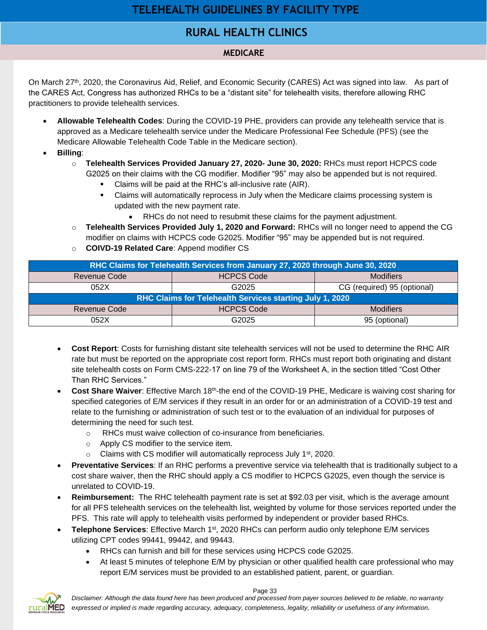# **TELEHEALTH GUIDELINES BY FACILITY TYPE**

# **RURAL HEALTH CLINICS RURAL HEALTH CLINICS**

# **MEDICARE**

<span id="page-32-1"></span><span id="page-32-0"></span>On March 27<sup>th</sup>, 2020, the Coronavirus Aid, Relief, and Economic Security (CARES) Act was signed into law. As part of the CARES Act, Congress has authorized RHCs to be a "distant site" for telehealth visits, therefore allowing RHC practitioners to provide telehealth services.

- **Allowable Telehealth Codes**: During the COVID-19 PHE, providers can provide any telehealth service that is approved as a Medicare telehealth service under the Medicare Professional Fee Schedule (PFS) (see the Medicare Allowable Telehealth Code Table in the Medicare section).
- **Billing**:
	- o **Telehealth Services Provided January 27, 2020- June 30, 2020:** RHCs must report HCPCS code G2025 on their claims with the CG modifier. Modifier "95" may also be appended but is not required.
		- Claims will be paid at the RHC's all-inclusive rate (AIR).
		- **•** Claims will automatically reprocess in July when the Medicare claims processing system is updated with the new payment rate.
			- RHCs do not need to resubmit these claims for the payment adjustment.
	- o **Telehealth Services Provided July 1, 2020 and Forward:** RHCs will no longer need to append the CG modifier on claims with HCPCS code G2025. Modifier "95" may be appended but is not required.
	- o **COIVD-19 Related Care**: Append modifier CS

| RHC Claims for Telehealth Services from January 27, 2020 through June 30, 2020 |                   |                             |  |  |  |  |  |
|--------------------------------------------------------------------------------|-------------------|-----------------------------|--|--|--|--|--|
| <b>Revenue Code</b>                                                            | <b>HCPCS Code</b> | <b>Modifiers</b>            |  |  |  |  |  |
| 052X                                                                           | G2025             | CG (required) 95 (optional) |  |  |  |  |  |
| RHC Claims for Telehealth Services starting July 1, 2020                       |                   |                             |  |  |  |  |  |
| <b>Revenue Code</b>                                                            | <b>HCPCS Code</b> | <b>Modifiers</b>            |  |  |  |  |  |
| 052X                                                                           | G2025             | 95 (optional)               |  |  |  |  |  |

- **Cost Report**: Costs for furnishing distant site telehealth services will not be used to determine the RHC AIR rate but must be reported on the appropriate cost report form. RHCs must report both originating and distant site telehealth costs on Form CMS-222-17 on line 79 of the Worksheet A, in the section titled "Cost Other Than RHC Services."
- **Cost Share Waiver:** Effective March 18<sup>th</sup>-the end of the COVID-19 PHE, Medicare is waiving cost sharing for specified categories of E/M services if they result in an order for or an administration of a COVID-19 test and relate to the furnishing or administration of such test or to the evaluation of an individual for purposes of determining the need for such test.
	- o RHCs must waive collection of co-insurance from beneficiaries.
	- o Apply CS modifier to the service item.
	- $\circ$  Claims with CS modifier will automatically reprocess July 1<sup>st</sup>, 2020.
- **Preventative Services**: If an RHC performs a preventive service via telehealth that is traditionally subject to a cost share waiver, then the RHC should apply a CS modifier to HCPCS G2025, even though the service is unrelated to COVID-19.
- **Reimbursement:** The RHC telehealth payment rate is set at \$92.03 per visit, which is the average amount for all PFS telehealth services on the telehealth list, weighted by volume for those services reported under the PFS. This rate will apply to telehealth visits performed by independent or provider based RHCs.
- **Telephone Services**: Effective March 1<sup>st</sup>, 2020 RHCs can perform audio only telephone E/M services utilizing CPT codes 99441, 99442, and 99443.
	- RHCs can furnish and bill for these services using HCPCS code G2025.
	- At least 5 minutes of telephone E/M by physician or other qualified health care professional who may report E/M services must be provided to an established patient, parent, or guardian.



Page 33

*Disclaimer: Although the data found here has been produced and processed from payer sources believed to be reliable, no warranty expressed or implied is made regarding accuracy, adequacy, completeness, legality, reliability or usefulness of any information.*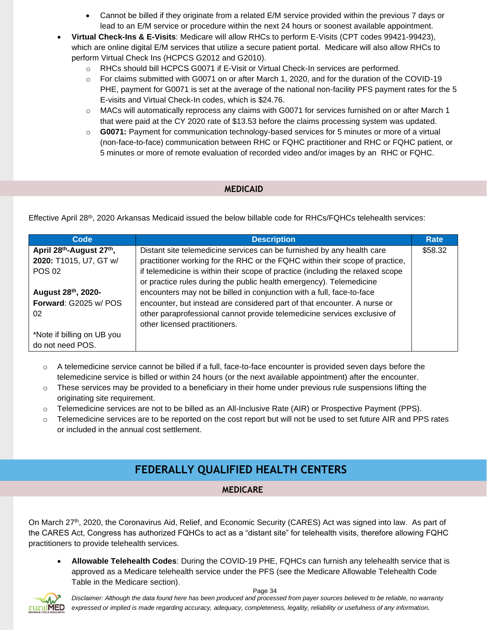- Cannot be billed if they originate from a related E/M service provided within the previous 7 days or lead to an E/M service or procedure within the next 24 hours or soonest available appointment.
- **Virtual Check-Ins & E-Visits**: Medicare will allow RHCs to perform E-Visits (CPT codes 99421-99423), which are online digital E/M services that utilize a secure patient portal. Medicare will also allow RHCs to perform Virtual Check Ins (HCPCS G2012 and G2010).
	- o RHCs should bill HCPCS G0071 if E-Visit or Virtual Check-In services are performed.
	- o For claims submitted with G0071 on or after March 1, 2020, and for the duration of the COVID-19 PHE, payment for G0071 is set at the average of the national non-facility PFS payment rates for the 5 E-visits and Virtual Check-In codes, which is \$24.76.
	- $\circ$  MACs will automatically reprocess any claims with G0071 for services furnished on or after March 1 that were paid at the CY 2020 rate of \$13.53 before the claims processing system was updated.
	- o **G0071:** Payment for communication technology-based services for 5 minutes or more of a virtual (non-face-to-face) communication between RHC or FQHC practitioner and RHC or FQHC patient, or 5 minutes or more of remote evaluation of recorded video and/or images by an RHC or FQHC.

### **MEDICAID**

Effective April 28th, 2020 Arkansas Medicaid issued the below billable code for RHCs/FQHCs telehealth services:

| Code                                              | <b>Description</b>                                                                                                                                    | Rate    |
|---------------------------------------------------|-------------------------------------------------------------------------------------------------------------------------------------------------------|---------|
| April 28 <sup>th</sup> -August 27 <sup>th</sup> , | Distant site telemedicine services can be furnished by any health care                                                                                | \$58.32 |
| 2020: T1015, U7, GT w/                            | practitioner working for the RHC or the FQHC within their scope of practice,                                                                          |         |
| <b>POS 02</b>                                     | if telemedicine is within their scope of practice (including the relaxed scope<br>or practice rules during the public health emergency). Telemedicine |         |
| August 28th, 2020-                                | encounters may not be billed in conjunction with a full, face-to-face                                                                                 |         |
| Forward: G2025 w/ POS                             | encounter, but instead are considered part of that encounter. A nurse or                                                                              |         |
| 02                                                | other paraprofessional cannot provide telemedicine services exclusive of<br>other licensed practitioners.                                             |         |
| *Note if billing on UB you                        |                                                                                                                                                       |         |
| do not need POS.                                  |                                                                                                                                                       |         |

- $\circ$  A telemedicine service cannot be billed if a full, face-to-face encounter is provided seven days before the telemedicine service is billed or within 24 hours (or the next available appointment) after the encounter.
- $\circ$  These services may be provided to a beneficiary in their home under previous rule suspensions lifting the originating site requirement.
- o Telemedicine services are not to be billed as an All-Inclusive Rate (AIR) or Prospective Payment (PPS).
- o Telemedicine services are to be reported on the cost report but will not be used to set future AIR and PPS rates or included in the annual cost settlement.

# **FEDERALLY QUALIFIED HEALTH CENTERS**

#### <span id="page-33-0"></span>On March 27th, 2020, the Coronavirus Aid, Relief, and Economic Security **MEDICARERUPACE**

On March 27<sup>th</sup>, 2020, the Coronavirus Aid, Relief, and Economic Security (CARES) Act was signed into law. As part of the CARES Act, Congress has authorized FQHCs to act as a "distant site" for telehealth visits, therefore allowing FQHC practitioners to provide telehealth services.

• **Allowable Telehealth Codes**: During the COVID-19 PHE, FQHCs can furnish any telehealth service that is approved as a Medicare telehealth service under the PFS (see the Medicare Allowable Telehealth Code Table in the Medicare section).

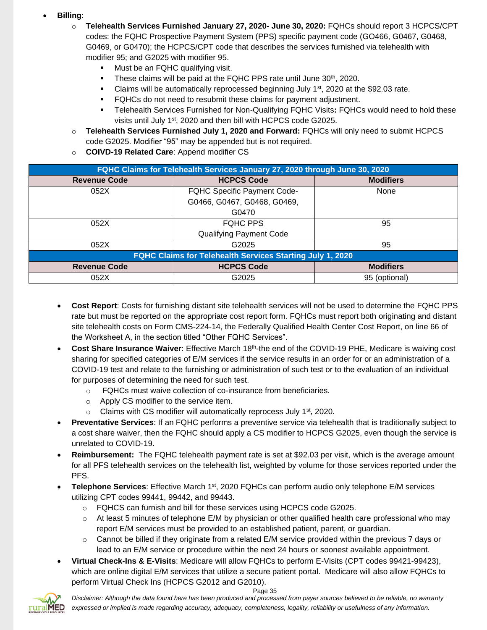### • **Billing**:

- o **Telehealth Services Furnished January 27, 2020- June 30, 2020:** FQHCs should report 3 HCPCS/CPT codes: the FQHC Prospective Payment System (PPS) specific payment code (GO466, G0467, G0468, G0469, or G0470); the HCPCS/CPT code that describes the services furnished via telehealth with modifier 95; and G2025 with modifier 95.
	- **■** Must be an FQHC qualifying visit.
	- **These claims will be paid at the FQHC PPS rate until June 30th, 2020.**
	- **•** Claims will be automatically reprocessed beginning July  $1<sup>st</sup>$ , 2020 at the \$92.03 rate.
	- **•** FQHCs do not need to resubmit these claims for payment adjustment.
	- Telehealth Services Furnished for Non-Qualifying FQHC Visits**:** FQHCs would need to hold these visits until July 1st, 2020 and then bill with HCPCS code G2025.
- o **Telehealth Services Furnished July 1, 2020 and Forward:** FQHCs will only need to submit HCPCS code G2025. Modifier "95" may be appended but is not required.
- o **COIVD-19 Related Care**: Append modifier CS

| FQHC Claims for Telehealth Services January 27, 2020 through June 30, 2020 |                                    |                  |  |  |  |  |  |
|----------------------------------------------------------------------------|------------------------------------|------------------|--|--|--|--|--|
| <b>Revenue Code</b>                                                        | <b>HCPCS Code</b>                  | <b>Modifiers</b> |  |  |  |  |  |
| 052X                                                                       | <b>FQHC Specific Payment Code-</b> | None             |  |  |  |  |  |
|                                                                            | G0466, G0467, G0468, G0469,        |                  |  |  |  |  |  |
|                                                                            | G0470                              |                  |  |  |  |  |  |
| 052X                                                                       | <b>FQHC PPS</b>                    | 95               |  |  |  |  |  |
|                                                                            | <b>Qualifying Payment Code</b>     |                  |  |  |  |  |  |
| 052X                                                                       | G2025                              | 95               |  |  |  |  |  |
| <b>FQHC Claims for Telehealth Services Starting July 1, 2020</b>           |                                    |                  |  |  |  |  |  |
| <b>Revenue Code</b>                                                        | <b>HCPCS Code</b>                  | <b>Modifiers</b> |  |  |  |  |  |
| 052X                                                                       | G2025                              | 95 (optional)    |  |  |  |  |  |

- **Cost Report**: Costs for furnishing distant site telehealth services will not be used to determine the FQHC PPS rate but must be reported on the appropriate cost report form. FQHCs must report both originating and distant site telehealth costs on Form CMS-224-14, the Federally Qualified Health Center Cost Report, on line 66 of the Worksheet A, in the section titled "Other FQHC Services".
- **Cost Share Insurance Waiver**: Effective March 18th-the end of the COVID-19 PHE, Medicare is waiving cost sharing for specified categories of E/M services if the service results in an order for or an administration of a COVID-19 test and relate to the furnishing or administration of such test or to the evaluation of an individual for purposes of determining the need for such test.
	- o FQHCs must waive collection of co-insurance from beneficiaries.
	- o Apply CS modifier to the service item.
	- $\circ$  Claims with CS modifier will automatically reprocess July 1<sup>st</sup>, 2020.
- **Preventative Services**: If an FQHC performs a preventive service via telehealth that is traditionally subject to a cost share waiver, then the FQHC should apply a CS modifier to HCPCS G2025, even though the service is unrelated to COVID-19.
- **Reimbursement:** The FQHC telehealth payment rate is set at \$92.03 per visit, which is the average amount for all PFS telehealth services on the telehealth list, weighted by volume for those services reported under the PFS.
- **Telephone Services**: Effective March 1st, 2020 FQHCs can perform audio only telephone E/M services utilizing CPT codes 99441, 99442, and 99443.
	- o FQHCS can furnish and bill for these services using HCPCS code G2025.
	- $\circ$  At least 5 minutes of telephone E/M by physician or other qualified health care professional who may report E/M services must be provided to an established patient, parent, or guardian.
	- o Cannot be billed if they originate from a related E/M service provided within the previous 7 days or lead to an E/M service or procedure within the next 24 hours or soonest available appointment.
- **Virtual Check-Ins & E-Visits**: Medicare will allow FQHCs to perform E-Visits (CPT codes 99421-99423), which are online digital E/M services that utilize a secure patient portal. Medicare will also allow FQHCs to perform Virtual Check Ins (HCPCS G2012 and G2010).

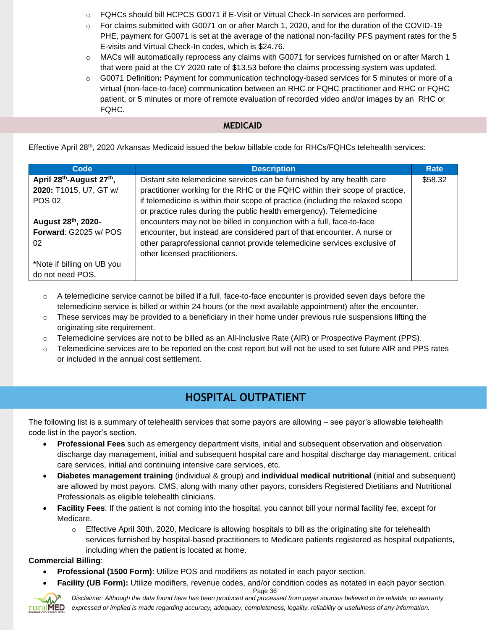- $\circ$  FQHCs should bill HCPCS G0071 if E-Visit or Virtual Check-In services are performed.
- o For claims submitted with G0071 on or after March 1, 2020, and for the duration of the COVID-19 PHE, payment for G0071 is set at the average of the national non-facility PFS payment rates for the 5 E-visits and Virtual Check-In codes, which is \$24.76.
- $\circ$  MACs will automatically reprocess any claims with G0071 for services furnished on or after March 1 that were paid at the CY 2020 rate of \$13.53 before the claims processing system was updated.
- o G0071 Definition**:** Payment for communication technology-based services for 5 minutes or more of a virtual (non-face-to-face) communication between an RHC or FQHC practitioner and RHC or FQHC patient, or 5 minutes or more of remote evaluation of recorded video and/or images by an RHC or FQHC.

### **MEDICAID**

Effective April 28th, 2020 Arkansas Medicaid issued the below billable code for RHCs/FQHCs telehealth services:

| Code                                              | <b>Description</b>                                                                                                                                    | Rate    |
|---------------------------------------------------|-------------------------------------------------------------------------------------------------------------------------------------------------------|---------|
| April 28 <sup>th</sup> -August 27 <sup>th</sup> , | Distant site telemedicine services can be furnished by any health care                                                                                | \$58.32 |
| 2020: T1015, U7, GT w/                            | practitioner working for the RHC or the FQHC within their scope of practice,                                                                          |         |
| <b>POS 02</b>                                     | if telemedicine is within their scope of practice (including the relaxed scope<br>or practice rules during the public health emergency). Telemedicine |         |
| August 28th, 2020-                                | encounters may not be billed in conjunction with a full, face-to-face                                                                                 |         |
| Forward: G2025 w/ POS                             | encounter, but instead are considered part of that encounter. A nurse or                                                                              |         |
| 02                                                | other paraprofessional cannot provide telemedicine services exclusive of                                                                              |         |
|                                                   | other licensed practitioners.                                                                                                                         |         |
| *Note if billing on UB you                        |                                                                                                                                                       |         |
| do not need POS.                                  |                                                                                                                                                       |         |

- $\circ$  A telemedicine service cannot be billed if a full, face-to-face encounter is provided seven days before the telemedicine service is billed or within 24 hours (or the next available appointment) after the encounter.
- $\circ$  These services may be provided to a beneficiary in their home under previous rule suspensions lifting the originating site requirement.
- o Telemedicine services are not to be billed as an All-Inclusive Rate (AIR) or Prospective Payment (PPS).
- $\circ$  Telemedicine services are to be reported on the cost report but will not be used to set future AIR and PPS rates or included in the annual cost settlement.

# **HOSPITAL OUTPATIENT**

<span id="page-35-0"></span>The following list is a summary of telehealth services that some payors are allowing – see payor's allowable telehealth code list in the payor's section.

- **Professional Fees** such as emergency department visits, initial and subsequent observation and observation discharge day management, initial and subsequent hospital care and hospital discharge day management, critical care services, initial and continuing intensive care services, etc.
- **Diabetes management training** (individual & group) and **individual medical nutritional** (initial and subsequent) are allowed by most payors. CMS, along with many other payors, considers Registered Dietitians and Nutritional Professionals as eligible telehealth clinicians.
- **Facility Fees**: If the patient is not coming into the hospital, you cannot bill your normal facility fee, except for Medicare.
	- $\circ$  Effective April 30th, 2020, Medicare is allowing hospitals to bill as the originating site for telehealth services furnished by hospital-based practitioners to Medicare patients registered as hospital outpatients, including when the patient is located at home.

# **Commercial Billing**:

- **Professional (1500 Form)**: Utilize POS and modifiers as notated in each payor section.
- **Facility (UB Form):** Utilize modifiers, revenue codes, and/or condition codes as notated in each payor section.

Page 36



*Disclaimer: Although the data found here has been produced and processed from payer sources believed to be reliable, no warranty expressed or implied is made regarding accuracy, adequacy, completeness, legality, reliability or usefulness of any information.*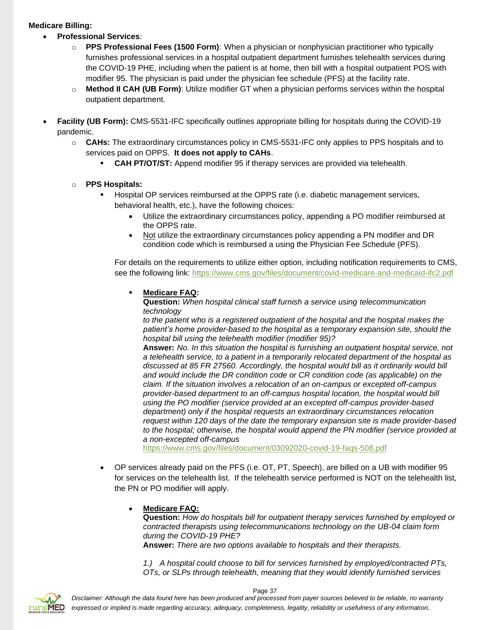#### **Medicare Billing:**

- **Professional Services**:
	- o **PPS Professional Fees (1500 Form)**: When a physician or nonphysician practitioner who typically furnishes professional services in a hospital outpatient department furnishes telehealth services during the COVID-19 PHE, including when the patient is at home, then bill with a hospital outpatient POS with modifier 95. The physician is paid under the physician fee schedule (PFS) at the facility rate.
	- o **Method II CAH (UB Form)**: Utilize modifier GT when a physician performs services within the hospital outpatient department.
- **Facility (UB Form):** CMS-5531-IFC specifically outlines appropriate billing for hospitals during the COVID-19 pandemic.
	- o **CAHs:** The extraordinary circumstances policy in CMS-5531-IFC only applies to PPS hospitals and to services paid on OPPS. **It does not apply to CAHs**.
		- **CAH PT/OT/ST:** Append modifier 95 if therapy services are provided via telehealth.

#### o **PPS Hospitals:**

- **EXECT** Hospital OP services reimbursed at the OPPS rate (i.e. diabetic management services, behavioral health, etc.), have the following choices:
	- Utilize the extraordinary circumstances policy, appending a PO modifier reimbursed at the OPPS rate.
	- Not utilize the extraordinary circumstances policy appending a PN modifier and DR condition code which is reimbursed a using the Physician Fee Schedule (PFS).

For details on the requirements to utilize either option, including notification requirements to CMS, see the following link:<https://www.cms.gov/files/document/covid-medicare-and-medicaid-ifc2.pdf>

#### **Medicare FAQ:**

**Question:** *When hospital clinical staff furnish a service using telecommunication technology*

*to the patient who is a registered outpatient of the hospital and the hospital makes the patient's home provider-based to the hospital as a temporary expansion site, should the hospital bill using the telehealth modifier (modifier 95)?*

**Answer:** *No. In this situation the hospital is furnishing an outpatient hospital service, not a telehealth service, to a patient in a temporarily relocated department of the hospital as discussed at 85 FR 27560. Accordingly, the hospital would bill as it ordinarily would bill and would include the DR condition code or CR condition code (as applicable) on the claim. If the situation involves a relocation of an on-campus or excepted off-campus provider-based department to an off-campus hospital location, the hospital would bill using the PO modifier (service provided at an excepted off-campus provider-based department) only if the hospital requests an extraordinary circumstances relocation request within 120 days of the date the temporary expansion site is made provider-based to the hospital; otherwise, the hospital would append the PN modifier (service provided at a non-excepted off-campus*

<https://www.cms.gov/files/document/03092020-covid-19-faqs-508.pdf>

• OP services already paid on the PFS (i.e. OT, PT, Speech), are billed on a UB with modifier 95 for services on the telehealth list. If the telehealth service performed is NOT on the telehealth list, the PN or PO modifier will apply.

#### • **Medicare FAQ:**

**Question:** *How do hospitals bill for outpatient therapy services furnished by employed or contracted therapists using telecommunications technology on the UB-04 claim form during the COVID-19 PHE?*

**Answer:** *There are two options available to hospitals and their therapists.*

*1.) A hospital could choose to bill for services furnished by employed/contracted PTs, OTs, or SLPs through telehealth, meaning that they would identify furnished services*

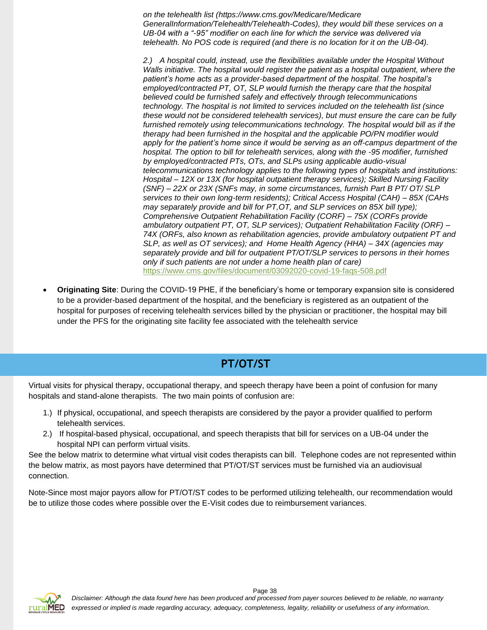*on the telehealth list (https://www.cms.gov/Medicare/Medicare GeneralInformation/Telehealth/Telehealth-Codes), they would bill these services on a UB-04 with a "-95" modifier on each line for which the service was delivered via telehealth. No POS code is required (and there is no location for it on the UB-04).*

*2.) A hospital could, instead, use the flexibilities available under the Hospital Without Walls initiative. The hospital would register the patient as a hospital outpatient, where the patient's home acts as a provider-based department of the hospital. The hospital's employed/contracted PT, OT, SLP would furnish the therapy care that the hospital believed could be furnished safely and effectively through telecommunications technology. The hospital is not limited to services included on the telehealth list (since these would not be considered telehealth services), but must ensure the care can be fully furnished remotely using telecommunications technology. The hospital would bill as if the therapy had been furnished in the hospital and the applicable PO/PN modifier would apply for the patient's home since it would be serving as an off-campus department of the hospital. The option to bill for telehealth services, along with the -95 modifier, furnished by employed/contracted PTs, OTs, and SLPs using applicable audio-visual telecommunications technology applies to the following types of hospitals and institutions: Hospital – 12X or 13X (for hospital outpatient therapy services); Skilled Nursing Facility (SNF) – 22X or 23X (SNFs may, in some circumstances, furnish Part B PT/ OT/ SLP services to their own long-term residents); Critical Access Hospital (CAH) – 85X (CAHs may separately provide and bill for PT,OT, and SLP services on 85X bill type); Comprehensive Outpatient Rehabilitation Facility (CORF) – 75X (CORFs provide ambulatory outpatient PT, OT, SLP services); Outpatient Rehabilitation Facility (ORF) – 74X (ORFs, also known as rehabilitation agencies, provide ambulatory outpatient PT and SLP, as well as OT services); and Home Health Agency (HHA) – 34X (agencies may separately provide and bill for outpatient PT/OT/SLP services to persons in their homes only if such patients are not under a home health plan of care)* <https://www.cms.gov/files/document/03092020-covid-19-faqs-508.pdf>

• **Originating Site**: During the COVID-19 PHE, if the beneficiary's home or temporary expansion site is considered to be a provider-based department of the hospital, and the beneficiary is registered as an outpatient of the hospital for purposes of receiving telehealth services billed by the physician or practitioner, the hospital may bill under the PFS for the originating site facility fee associated with the telehealth service

# **PT/OT/ST**

<span id="page-37-0"></span>Virtual visits for physical therapy, occupational therapy, and speech therapy have been a point of confusion for many hospitals and stand-alone therapists. The two main points of confusion are:

- 1.) If physical, occupational, and speech therapists are considered by the payor a provider qualified to perform telehealth services.
- 2.) If hospital-based physical, occupational, and speech therapists that bill for services on a UB-04 under the hospital NPI can perform virtual visits.

See the below matrix to determine what virtual visit codes therapists can bill. Telephone codes are not represented within the below matrix, as most payors have determined that PT/OT/ST services must be furnished via an audiovisual connection.

Note-Since most major payors allow for PT/OT/ST codes to be performed utilizing telehealth, our recommendation would be to utilize those codes where possible over the E-Visit codes due to reimbursement variances.

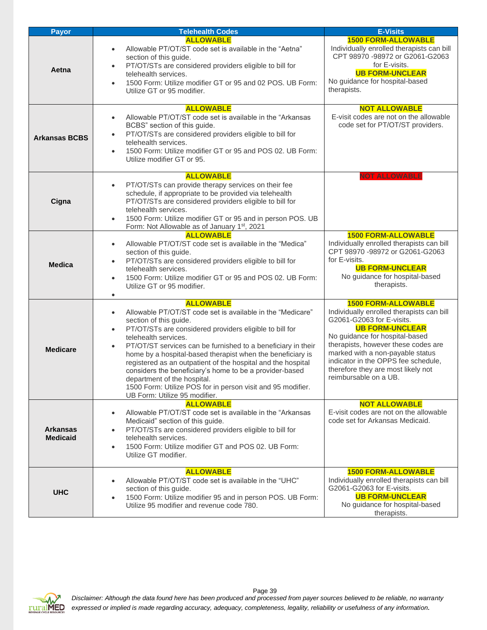| <b>Payor</b>                       | <b>Telehealth Codes</b>                                                                                                                                                                                                                                                                                                                                                                                                                                                                                                                                                                                                    | <b>E-Visits</b>                                                                                                                                                                                                                                                                                                                                   |
|------------------------------------|----------------------------------------------------------------------------------------------------------------------------------------------------------------------------------------------------------------------------------------------------------------------------------------------------------------------------------------------------------------------------------------------------------------------------------------------------------------------------------------------------------------------------------------------------------------------------------------------------------------------------|---------------------------------------------------------------------------------------------------------------------------------------------------------------------------------------------------------------------------------------------------------------------------------------------------------------------------------------------------|
| Aetna                              | <b>ALLOWABLE</b><br>Allowable PT/OT/ST code set is available in the "Aetna"<br>$\bullet$<br>section of this guide.<br>PT/OT/STs are considered providers eligible to bill for<br>$\bullet$<br>telehealth services.<br>1500 Form: Utilize modifier GT or 95 and 02 POS. UB Form:<br>$\bullet$<br>Utilize GT or 95 modifier.                                                                                                                                                                                                                                                                                                 | <b>1500 FORM-ALLOWABLE</b><br>Individually enrolled therapists can bill<br>CPT 98970 -98972 or G2061-G2063<br>for E-visits.<br><b>UB FORM-UNCLEAR</b><br>No guidance for hospital-based<br>therapists.                                                                                                                                            |
| <b>Arkansas BCBS</b>               | <b>ALLOWABLE</b><br>Allowable PT/OT/ST code set is available in the "Arkansas"<br>$\bullet$<br>BCBS" section of this guide.<br>PT/OT/STs are considered providers eligible to bill for<br>$\bullet$<br>telehealth services.<br>1500 Form: Utilize modifier GT or 95 and POS 02. UB Form:<br>$\bullet$<br>Utilize modifier GT or 95.                                                                                                                                                                                                                                                                                        | <b>NOT ALLOWABLE</b><br>E-visit codes are not on the allowable<br>code set for PT/OT/ST providers.                                                                                                                                                                                                                                                |
| Cigna                              | <b>ALLOWABLE</b><br>PT/OT/STs can provide therapy services on their fee<br>$\bullet$<br>schedule, if appropriate to be provided via telehealth<br>PT/OT/STs are considered providers eligible to bill for<br>telehealth services.<br>1500 Form: Utilize modifier GT or 95 and in person POS. UB<br>$\bullet$<br>Form: Not Allowable as of January 1st, 2021                                                                                                                                                                                                                                                                | <b>NOT ALLOWABLE</b>                                                                                                                                                                                                                                                                                                                              |
| <b>Medica</b>                      | <b>ALLOWABLE</b><br>Allowable PT/OT/ST code set is available in the "Medica"<br>$\bullet$<br>section of this guide.<br>PT/OT/STs are considered providers eligible to bill for<br>$\bullet$<br>telehealth services.<br>1500 Form: Utilize modifier GT or 95 and POS 02. UB Form:<br>Utilize GT or 95 modifier.<br>$\bullet$                                                                                                                                                                                                                                                                                                | <b>1500 FORM-ALLOWABLE</b><br>Individually enrolled therapists can bill<br>CPT 98970 -98972 or G2061-G2063<br>for E-visits.<br><b>UB FORM-UNCLEAR</b><br>No guidance for hospital-based<br>therapists.                                                                                                                                            |
| <b>Medicare</b>                    | <b>ALLOWABLE</b><br>Allowable PT/OT/ST code set is available in the "Medicare"<br>$\bullet$<br>section of this guide.<br>PT/OT/STs are considered providers eligible to bill for<br>$\bullet$<br>telehealth services.<br>PT/OT/ST services can be furnished to a beneficiary in their<br>$\bullet$<br>home by a hospital-based therapist when the beneficiary is<br>registered as an outpatient of the hospital and the hospital<br>considers the beneficiary's home to be a provider-based<br>department of the hospital.<br>1500 Form: Utilize POS for in person visit and 95 modifier.<br>UB Form: Utilize 95 modifier. | <b>1500 FORM-ALLOWABLE</b><br>Individually enrolled therapists can bill<br>G2061-G2063 for E-visits.<br><b>UB FORM-UNCLEAR</b><br>No guidance for hospital-based<br>therapists, however these codes are<br>marked with a non-payable status<br>indicator in the OPPS fee schedule,<br>therefore they are most likely not<br>reimbursable on a UB. |
| <b>Arkansas</b><br><b>Medicaid</b> | <b>ALLOWABLE</b><br>Allowable PT/OT/ST code set is available in the "Arkansas<br>$\bullet$<br>Medicaid" section of this guide.<br>PT/OT/STs are considered providers eligible to bill for<br>$\bullet$<br>telehealth services.<br>1500 Form: Utilize modifier GT and POS 02. UB Form:<br>$\bullet$<br>Utilize GT modifier.                                                                                                                                                                                                                                                                                                 | <b>NOT ALLOWABLE</b><br>E-visit codes are not on the allowable<br>code set for Arkansas Medicaid.                                                                                                                                                                                                                                                 |
| <b>UHC</b>                         | <b>ALLOWABLE</b><br>Allowable PT/OT/ST code set is available in the "UHC"<br>$\bullet$<br>section of this guide.<br>1500 Form: Utilize modifier 95 and in person POS. UB Form:<br>$\bullet$<br>Utilize 95 modifier and revenue code 780.                                                                                                                                                                                                                                                                                                                                                                                   | <b>1500 FORM-ALLOWABLE</b><br>Individually enrolled therapists can bill<br>G2061-G2063 for E-visits.<br><b>UB FORM-UNCLEAR</b><br>No guidance for hospital-based<br>therapists.                                                                                                                                                                   |

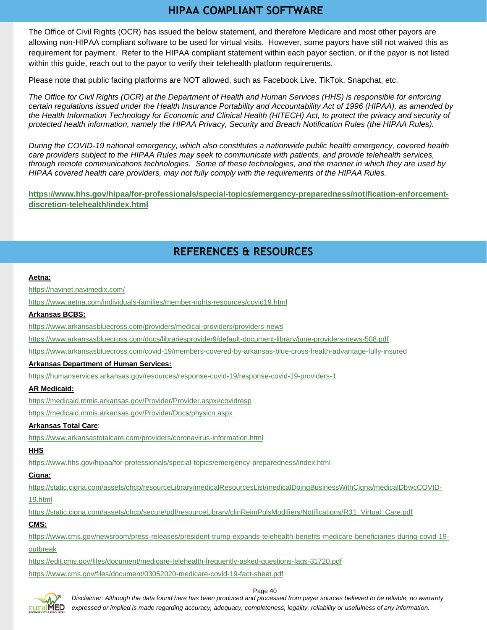# **HIPAA COMPLIANT SOFTWARE**

<span id="page-39-0"></span>The Office of Civil Rights (OCR) has issued the below statement, and therefore Medicare and most other payors are allowing non-HIPAA compliant software to be used for virtual visits. However, some payors have still not waived this as requirement for payment. Refer to the HIPAA compliant statement within each payor section, or if the payor is not listed within this guide, reach out to the payor to verify their telehealth platform requirements.

Please note that public facing platforms are NOT allowed, such as Facebook Live, TikTok, Snapchat, etc.

*The Office for Civil Rights (OCR) at the Department of Health and Human Services (HHS) is responsible for enforcing certain regulations issued under the Health Insurance Portability and Accountability Act of 1996 (HIPAA), as amended by the Health Information Technology for Economic and Clinical Health (HITECH) Act, to protect the privacy and security of protected health information, namely the HIPAA Privacy, Security and Breach Notification Rules (the HIPAA Rules).*

*During the COVID-19 national emergency, which also constitutes a nationwide public health emergency, covered health care providers subject to the HIPAA Rules may seek to communicate with patients, and provide telehealth services, through remote communications technologies. Some of these technologies, and the manner in which they are used by HIPAA covered health care providers, may not fully comply with the requirements of the HIPAA Rules.*

**[https://www.hhs.gov/hipaa/for-professionals/special-topics/emergency-preparedness/notification-enforcement](https://www.hhs.gov/hipaa/for-professionals/special-topics/emergency-preparedness/notification-enforcement-discretion-telehealth/index.html)[discretion-telehealth/index.html](https://www.hhs.gov/hipaa/for-professionals/special-topics/emergency-preparedness/notification-enforcement-discretion-telehealth/index.html)**

# **REFERENCES & RESOURCES**

<span id="page-39-1"></span>

<https://www.cms.gov/files/document/03052020-medicare-covid-19-fact-sheet.pdf>





*Disclaimer: Although the data found here has been produced and processed from payer sources believed to be reliable, no warranty expressed or implied is made regarding accuracy, adequacy, completeness, legality, reliability or usefulness of any information.*